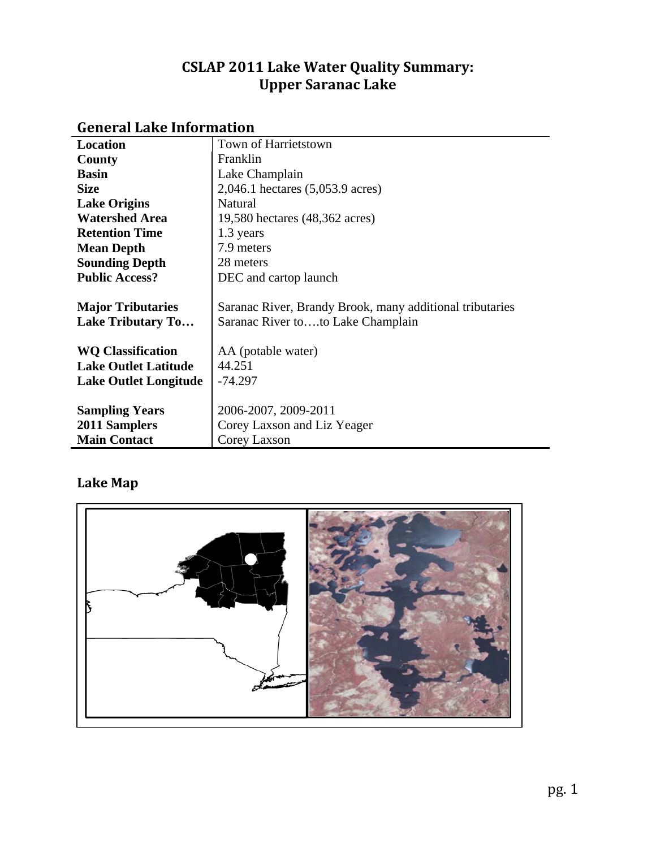# **CSLAP 2011 Lake Water Quality Summary: Upper Saranac Lake**

| <b>Location</b>              | Town of Harrietstown                                     |
|------------------------------|----------------------------------------------------------|
| County                       | Franklin                                                 |
| <b>Basin</b>                 | Lake Champlain                                           |
| <b>Size</b>                  | 2,046.1 hectares (5,053.9 acres)                         |
| <b>Lake Origins</b>          | <b>Natural</b>                                           |
| <b>Watershed Area</b>        | 19,580 hectares (48,362 acres)                           |
| <b>Retention Time</b>        | 1.3 years                                                |
| <b>Mean Depth</b>            | 7.9 meters                                               |
| <b>Sounding Depth</b>        | 28 meters                                                |
| <b>Public Access?</b>        | DEC and cartop launch                                    |
|                              |                                                          |
| <b>Major Tributaries</b>     | Saranac River, Brandy Brook, many additional tributaries |
| <b>Lake Tributary To</b>     | Saranac River toto Lake Champlain                        |
|                              |                                                          |
| <b>WQ Classification</b>     | AA (potable water)                                       |
| <b>Lake Outlet Latitude</b>  | 44.251                                                   |
| <b>Lake Outlet Longitude</b> | $-74.297$                                                |
|                              |                                                          |
| <b>Sampling Years</b>        | 2006-2007, 2009-2011                                     |
| 2011 Samplers                | Corey Laxson and Liz Yeager                              |
| <b>Main Contact</b>          | Corey Laxson                                             |

# **General Lake Information**

# **Lake Map**

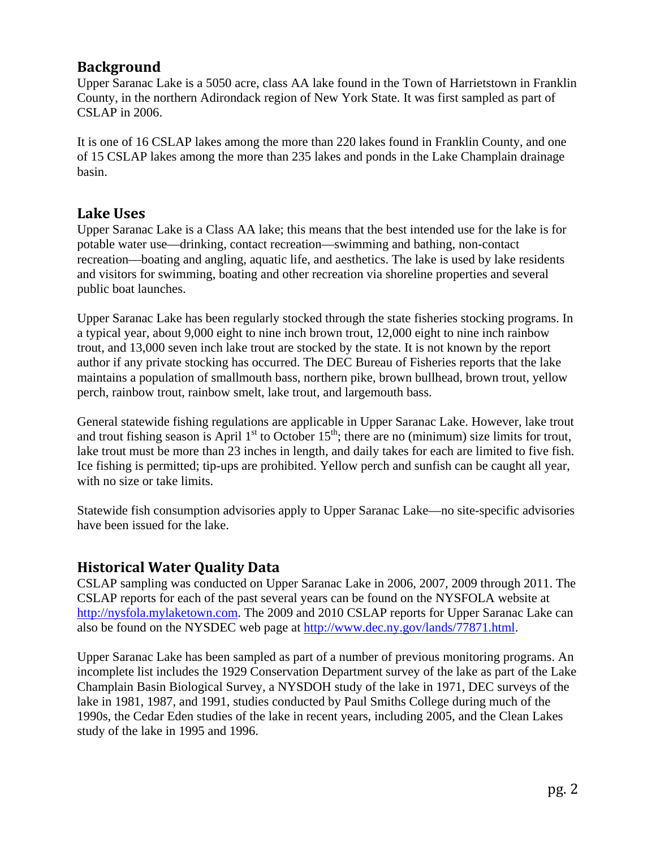## **Background**

Upper Saranac Lake is a 5050 acre, class AA lake found in the Town of Harrietstown in Franklin County, in the northern Adirondack region of New York State. It was first sampled as part of CSLAP in 2006.

It is one of 16 CSLAP lakes among the more than 220 lakes found in Franklin County, and one of 15 CSLAP lakes among the more than 235 lakes and ponds in the Lake Champlain drainage basin.

## **Lake Uses**

Upper Saranac Lake is a Class AA lake; this means that the best intended use for the lake is for potable water use—drinking, contact recreation—swimming and bathing, non-contact recreation—boating and angling, aquatic life, and aesthetics. The lake is used by lake residents and visitors for swimming, boating and other recreation via shoreline properties and several public boat launches.

Upper Saranac Lake has been regularly stocked through the state fisheries stocking programs. In a typical year, about 9,000 eight to nine inch brown trout, 12,000 eight to nine inch rainbow trout, and 13,000 seven inch lake trout are stocked by the state. It is not known by the report author if any private stocking has occurred. The DEC Bureau of Fisheries reports that the lake maintains a population of smallmouth bass, northern pike, brown bullhead, brown trout, yellow perch, rainbow trout, rainbow smelt, lake trout, and largemouth bass.

General statewide fishing regulations are applicable in Upper Saranac Lake. However, lake trout and trout fishing season is April  $1<sup>st</sup>$  to October  $15<sup>th</sup>$ ; there are no (minimum) size limits for trout, lake trout must be more than 23 inches in length, and daily takes for each are limited to five fish. Ice fishing is permitted; tip-ups are prohibited. Yellow perch and sunfish can be caught all year, with no size or take limits.

Statewide fish consumption advisories apply to Upper Saranac Lake—no site-specific advisories have been issued for the lake.

## **Historical Water Quality Data**

CSLAP sampling was conducted on Upper Saranac Lake in 2006, 2007, 2009 through 2011. The CSLAP reports for each of the past several years can be found on the NYSFOLA website at [http://nysfola.mylaketown.com.](http://nysfola.mylaketown.com/) The 2009 and 2010 CSLAP reports for Upper Saranac Lake can also be found on the NYSDEC web page at [http://www.dec.ny.gov/lands/77871.html.](http://www.dec.ny.gov/lands/77871.html)

Upper Saranac Lake has been sampled as part of a number of previous monitoring programs. An incomplete list includes the 1929 Conservation Department survey of the lake as part of the Lake Champlain Basin Biological Survey, a NYSDOH study of the lake in 1971, DEC surveys of the lake in 1981, 1987, and 1991, studies conducted by Paul Smiths College during much of the 1990s, the Cedar Eden studies of the lake in recent years, including 2005, and the Clean Lakes study of the lake in 1995 and 1996.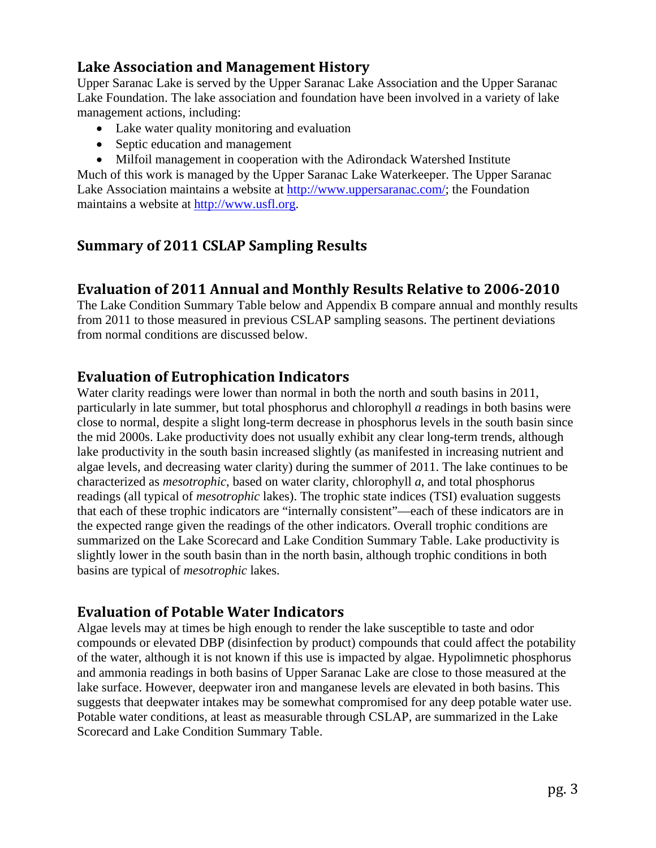# **Lake Association and Management History**

Upper Saranac Lake is served by the Upper Saranac Lake Association and the Upper Saranac Lake Foundation. The lake association and foundation have been involved in a variety of lake management actions, including:

- Lake water quality monitoring and evaluation
- Septic education and management
- Milfoil management in cooperation with the Adirondack Watershed Institute

Much of this work is managed by the Upper Saranac Lake Waterkeeper. The Upper Saranac Lake Association maintains a website at [http://www.uppersaranac.com/;](http://www.uppersaranac.com/) the Foundation maintains a website at [http://www.usfl.org.](http://www.usfl.org/)

# **Summary of 2011 CSLAP Sampling Results**

# **Evaluation of 2011 Annual and Monthly Results Relative to 20062010**

The Lake Condition Summary Table below and Appendix B compare annual and monthly results from 2011 to those measured in previous CSLAP sampling seasons. The pertinent deviations from normal conditions are discussed below.

# **Evaluation of Eutrophication Indicators**

Water clarity readings were lower than normal in both the north and south basins in 2011, particularly in late summer, but total phosphorus and chlorophyll *a* readings in both basins were close to normal, despite a slight long-term decrease in phosphorus levels in the south basin since the mid 2000s. Lake productivity does not usually exhibit any clear long-term trends, although lake productivity in the south basin increased slightly (as manifested in increasing nutrient and algae levels, and decreasing water clarity) during the summer of 2011. The lake continues to be characterized as *mesotrophic*, based on water clarity, chlorophyll *a*, and total phosphorus readings (all typical of *mesotrophic* lakes). The trophic state indices (TSI) evaluation suggests that each of these trophic indicators are "internally consistent"—each of these indicators are in the expected range given the readings of the other indicators. Overall trophic conditions are summarized on the Lake Scorecard and Lake Condition Summary Table. Lake productivity is slightly lower in the south basin than in the north basin, although trophic conditions in both basins are typical of *mesotrophic* lakes.

## **Evaluation of Potable Water Indicators**

Algae levels may at times be high enough to render the lake susceptible to taste and odor compounds or elevated DBP (disinfection by product) compounds that could affect the potability of the water, although it is not known if this use is impacted by algae. Hypolimnetic phosphorus and ammonia readings in both basins of Upper Saranac Lake are close to those measured at the lake surface. However, deepwater iron and manganese levels are elevated in both basins. This suggests that deepwater intakes may be somewhat compromised for any deep potable water use. Potable water conditions, at least as measurable through CSLAP, are summarized in the Lake Scorecard and Lake Condition Summary Table.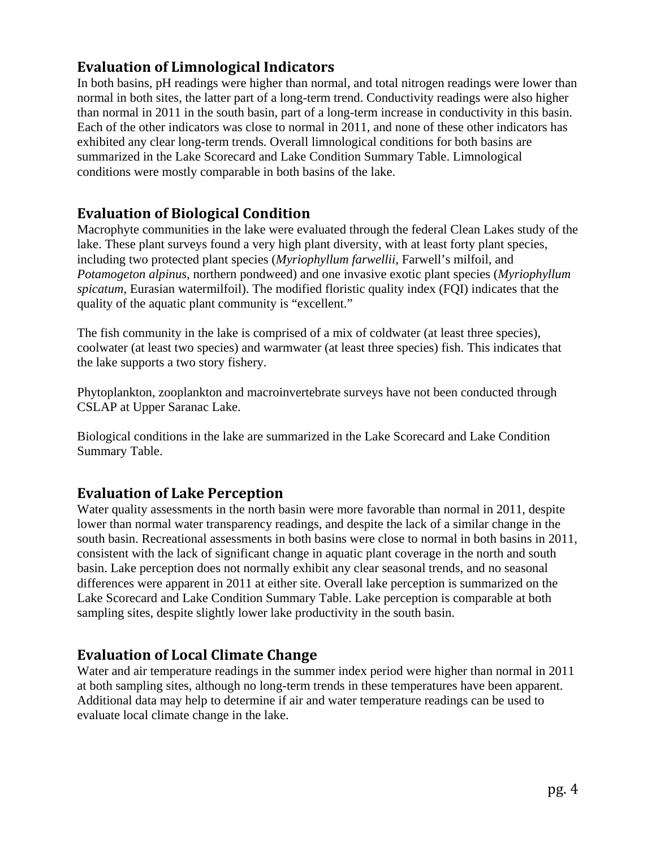# **Evaluation of Limnological Indicators**

In both basins, pH readings were higher than normal, and total nitrogen readings were lower than normal in both sites, the latter part of a long-term trend. Conductivity readings were also higher than normal in 2011 in the south basin, part of a long-term increase in conductivity in this basin. Each of the other indicators was close to normal in 2011, and none of these other indicators has exhibited any clear long-term trends. Overall limnological conditions for both basins are summarized in the Lake Scorecard and Lake Condition Summary Table. Limnological conditions were mostly comparable in both basins of the lake.

# **Evaluation of Biological Condition**

Macrophyte communities in the lake were evaluated through the federal Clean Lakes study of the lake. These plant surveys found a very high plant diversity, with at least forty plant species, including two protected plant species (*Myriophyllum farwellii*, Farwell's milfoil, and *Potamogeton alpinus*, northern pondweed) and one invasive exotic plant species (*Myriophyllum spicatum*, Eurasian watermilfoil). The modified floristic quality index (FQI) indicates that the quality of the aquatic plant community is "excellent."

The fish community in the lake is comprised of a mix of coldwater (at least three species), coolwater (at least two species) and warmwater (at least three species) fish. This indicates that the lake supports a two story fishery.

Phytoplankton, zooplankton and macroinvertebrate surveys have not been conducted through CSLAP at Upper Saranac Lake.

Biological conditions in the lake are summarized in the Lake Scorecard and Lake Condition Summary Table.

# **Evaluation of Lake Perception**

Water quality assessments in the north basin were more favorable than normal in 2011, despite lower than normal water transparency readings, and despite the lack of a similar change in the south basin. Recreational assessments in both basins were close to normal in both basins in 2011, consistent with the lack of significant change in aquatic plant coverage in the north and south basin. Lake perception does not normally exhibit any clear seasonal trends, and no seasonal differences were apparent in 2011 at either site. Overall lake perception is summarized on the Lake Scorecard and Lake Condition Summary Table. Lake perception is comparable at both sampling sites, despite slightly lower lake productivity in the south basin.

## **Evaluation of Local Climate Change**

Water and air temperature readings in the summer index period were higher than normal in 2011 at both sampling sites, although no long-term trends in these temperatures have been apparent. Additional data may help to determine if air and water temperature readings can be used to evaluate local climate change in the lake.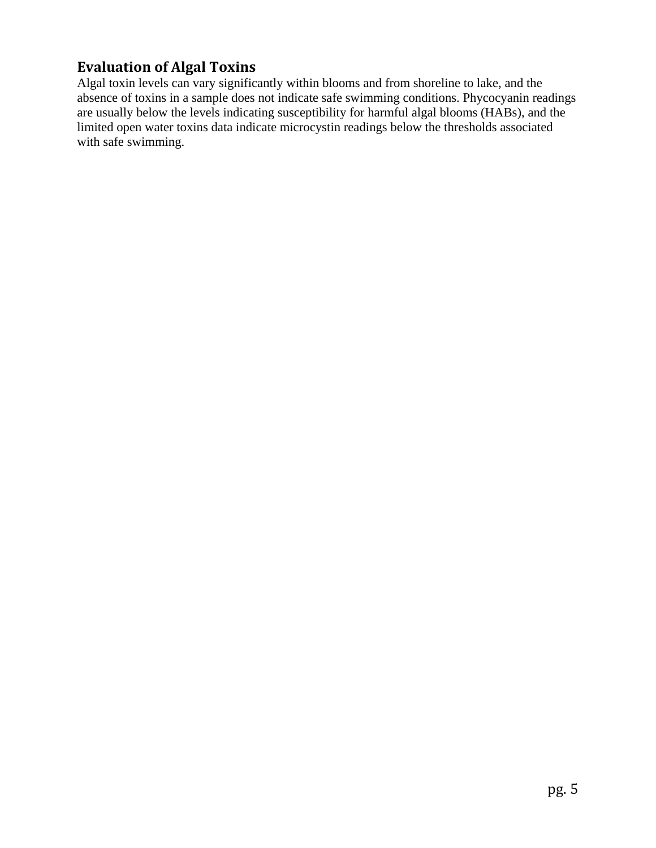# **Evaluation of Algal Toxins**

Algal toxin levels can vary significantly within blooms and from shoreline to lake, and the absence of toxins in a sample does not indicate safe swimming conditions. Phycocyanin readings are usually below the levels indicating susceptibility for harmful algal blooms (HABs), and the limited open water toxins data indicate microcystin readings below the thresholds associated with safe swimming.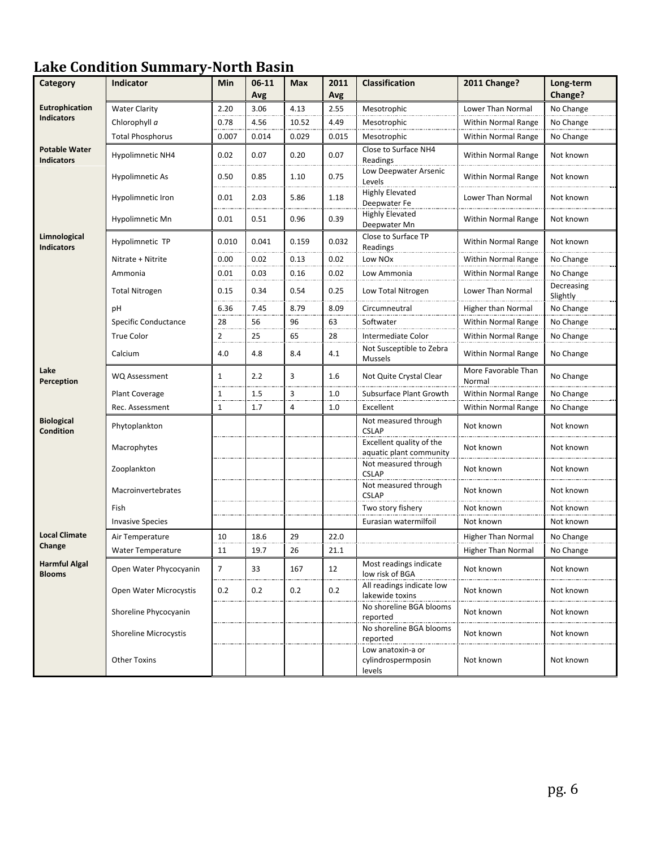# **Lake Condition SummaryNorth Basin**

| Category                                  | <b>Indicator</b>             | Min            | $06 - 11$<br>Avg | <b>Max</b> | 2011<br>Avg | <b>Classification</b>                               | 2011 Change?                  | Long-term<br>Change?   |
|-------------------------------------------|------------------------------|----------------|------------------|------------|-------------|-----------------------------------------------------|-------------------------------|------------------------|
| <b>Eutrophication</b>                     | <b>Water Clarity</b>         | 2.20           | 3.06             | 4.13       | 2.55        | Mesotrophic                                         | Lower Than Normal             | No Change              |
| <b>Indicators</b>                         | Chlorophyll a                | 0.78           | 4.56             | 10.52      | 4.49        | Mesotrophic                                         | <b>Within Normal Range</b>    | No Change              |
|                                           | <b>Total Phosphorus</b>      | 0.007          | 0.014            | 0.029      | 0.015       | Mesotrophic                                         | <b>Within Normal Range</b>    | No Change              |
| <b>Potable Water</b><br><b>Indicators</b> | Hypolimnetic NH4             | 0.02           | 0.07             | 0.20       | 0.07        | Close to Surface NH4<br>Readings                    | Within Normal Range           | Not known              |
|                                           | <b>Hypolimnetic As</b>       | 0.50           | 0.85             | 1.10       | 0.75        | Low Deepwater Arsenic<br>Levels                     | Within Normal Range           | Not known              |
|                                           | Hypolimnetic Iron            | 0.01           | 2.03             | 5.86       | 1.18        | <b>Highly Elevated</b><br>Deepwater Fe              | Lower Than Normal             | Not known              |
|                                           | Hypolimnetic Mn              | 0.01           | 0.51             | 0.96       | 0.39        | <b>Highly Elevated</b><br>Deepwater Mn              | <b>Within Normal Range</b>    | Not known              |
| Limnological<br><b>Indicators</b>         | Hypolimnetic TP              | 0.010          | 0.041            | 0.159      | 0.032       | Close to Surface TP<br>Readings                     | Within Normal Range           | Not known              |
|                                           | Nitrate + Nitrite            | 0.00           | 0.02             | 0.13       | 0.02        | Low NO <sub>x</sub>                                 | Within Normal Range           | No Change              |
|                                           | Ammonia                      | 0.01           | 0.03             | 0.16       | 0.02        | Low Ammonia                                         | Within Normal Range           | No Change              |
|                                           | <b>Total Nitrogen</b>        | 0.15           | 0.34             | 0.54       | 0.25        | Low Total Nitrogen                                  | Lower Than Normal             | Decreasing<br>Slightly |
|                                           | рH                           | 6.36           | 7.45             | 8.79       | 8.09        | Circumneutral                                       | Higher than Normal            | No Change              |
|                                           | Specific Conductance         | 28             | 56               | 96         | 63          | Softwater                                           | Within Normal Range           | No Change              |
|                                           | <b>True Color</b>            | $\overline{2}$ | 25               | 65         | 28          | Intermediate Color                                  | <b>Within Normal Range</b>    | No Change              |
|                                           | Calcium                      | 4.0            | 4.8              | 8.4        | 4.1         | Not Susceptible to Zebra<br>Mussels                 | <b>Within Normal Range</b>    | No Change              |
| Lake<br>Perception                        | <b>WQ Assessment</b>         | $\mathbf{1}$   | 2.2              | 3          | 1.6         | Not Quite Crystal Clear                             | More Favorable Than<br>Normal | No Change              |
|                                           | Plant Coverage               | 1              | 1.5              | 3          | 1.0         | Subsurface Plant Growth                             | <b>Within Normal Range</b>    | No Change              |
|                                           | Rec. Assessment              | $1\,$          | 1.7              | 4          | 1.0         | Excellent                                           | <b>Within Normal Range</b>    | No Change              |
| <b>Biological</b><br><b>Condition</b>     | Phytoplankton                |                |                  |            |             | Not measured through<br><b>CSLAP</b>                | Not known                     | Not known              |
|                                           | Macrophytes                  |                |                  |            |             | Excellent quality of the<br>aquatic plant community | Not known                     | Not known              |
|                                           | Zooplankton                  |                |                  |            |             | Not measured through<br><b>CSLAP</b>                | Not known                     | Not known              |
|                                           | Macroinvertebrates           |                |                  |            |             | Not measured through<br><b>CSLAP</b>                | Not known                     | Not known              |
|                                           | Fish                         |                |                  |            |             | Two story fishery                                   | Not known                     | Not known              |
|                                           | <b>Invasive Species</b>      |                |                  |            |             | Eurasian watermilfoil                               | Not known                     | Not known              |
| <b>Local Climate</b>                      | Air Temperature              | 10             | 18.6             | 29         | 22.0        |                                                     | <b>Higher Than Normal</b>     | No Change              |
| Change                                    | <b>Water Temperature</b>     | 11             | 19.7             | 26         | 21.1        |                                                     | <b>Higher Than Normal</b>     | No Change              |
| <b>Harmful Algal</b><br><b>Blooms</b>     | Open Water Phycocyanin       | $\overline{7}$ | 33               | 167        | 12          | Most readings indicate<br>low risk of BGA           | Not known                     | Not known              |
|                                           | Open Water Microcystis       | 0.2            | 0.2              | 0.2        | 0.2         | All readings indicate low<br>lakewide toxins        | Not known                     | Not known              |
|                                           | Shoreline Phycocyanin        |                |                  |            |             | No shoreline BGA blooms<br>reported                 | Not known                     | Not known              |
|                                           | <b>Shoreline Microcystis</b> |                |                  |            |             | No shoreline BGA blooms<br>reported                 | Not known                     | Not known              |
|                                           | <b>Other Toxins</b>          |                |                  |            |             | Low anatoxin-a or<br>cylindrospermposin<br>levels   | Not known                     | Not known              |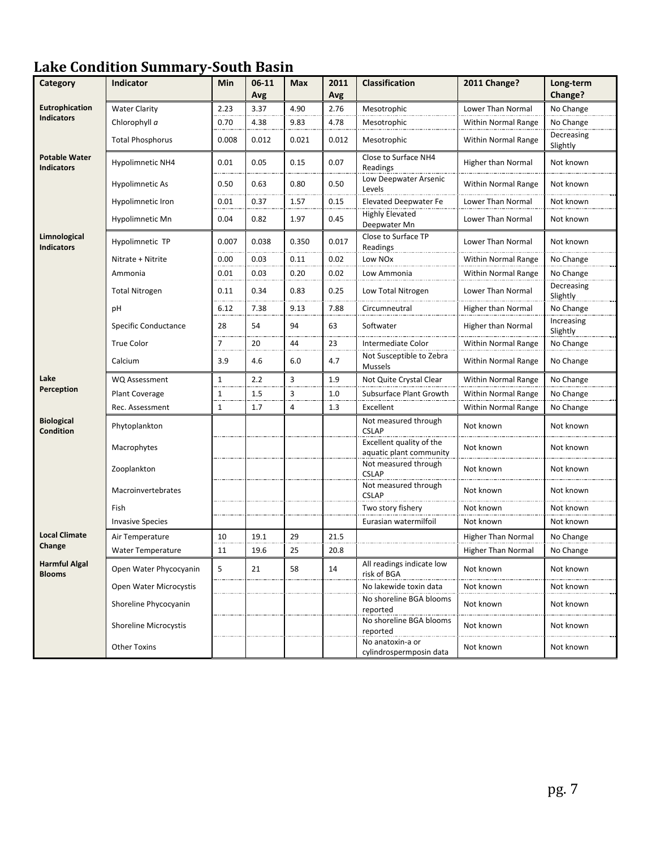# **Lake Condition SummarySouth Basin**

| Category                                  | Indicator                | Min            | $06 - 11$<br>Avg | <b>Max</b> | 2011<br>Avg | <b>Classification</b>                               | 2011 Change?               | Long-term<br>Change?   |
|-------------------------------------------|--------------------------|----------------|------------------|------------|-------------|-----------------------------------------------------|----------------------------|------------------------|
| <b>Eutrophication</b>                     | <b>Water Clarity</b>     | 2.23           | 3.37             | 4.90       | 2.76        | Mesotrophic                                         | <b>Lower Than Normal</b>   | No Change              |
| <b>Indicators</b>                         | Chlorophyll a            | 0.70           | 4.38             | 9.83       | 4.78        | Mesotrophic                                         | Within Normal Range        | No Change              |
|                                           | <b>Total Phosphorus</b>  | 0.008          | 0.012            | 0.021      | 0.012       | Mesotrophic                                         | <b>Within Normal Range</b> | Decreasing<br>Slightly |
| <b>Potable Water</b><br><b>Indicators</b> | <b>Hypolimnetic NH4</b>  | 0.01           | 0.05             | 0.15       | 0.07        | Close to Surface NH4<br>Readings                    | Higher than Normal         | Not known              |
|                                           | Hypolimnetic As          | 0.50           | 0.63             | 0.80       | 0.50        | Low Deepwater Arsenic<br>Levels                     | Within Normal Range        | Not known              |
|                                           | Hypolimnetic Iron        | 0.01           | 0.37             | 1.57       | 0.15        | <b>Elevated Deepwater Fe</b>                        | Lower Than Normal          | Not known              |
|                                           | Hypolimnetic Mn          | 0.04           | 0.82             | 1.97       | 0.45        | <b>Highly Elevated</b><br>Deepwater Mn              | Lower Than Normal          | Not known              |
| Limnological<br><b>Indicators</b>         | Hypolimnetic TP          | 0.007          | 0.038            | 0.350      | 0.017       | Close to Surface TP<br>Readings                     | Lower Than Normal          | Not known              |
|                                           | Nitrate + Nitrite        | 0.00           | 0.03             | 0.11       | 0.02        | Low NOx                                             | Within Normal Range        | No Change              |
|                                           | Ammonia                  | 0.01           | 0.03             | 0.20       | 0.02        | Low Ammonia                                         | Within Normal Range        | No Change              |
|                                           | <b>Total Nitrogen</b>    | 0.11           | 0.34             | 0.83       | 0.25        | Low Total Nitrogen                                  | Lower Than Normal          | Decreasing<br>Slightly |
|                                           | pH                       | 6.12           | 7.38             | 9.13       | 7.88        | Circumneutral                                       | Higher than Normal         | No Change              |
|                                           | Specific Conductance     | 28             | 54               | 94         | 63          | Softwater                                           | <b>Higher than Normal</b>  | Increasing<br>Slightly |
|                                           | <b>True Color</b>        | $\overline{7}$ | 20               | 44         | 23          | Intermediate Color                                  | <b>Within Normal Range</b> | No Change              |
|                                           | Calcium                  | 3.9            | 4.6              | 6.0        | 4.7         | Not Susceptible to Zebra<br>Mussels                 | Within Normal Range        | No Change              |
| Lake                                      | <b>WQ Assessment</b>     | $\mathbf{1}$   | 2.2              | 3          | 1.9         | Not Quite Crystal Clear                             | <b>Within Normal Range</b> | No Change              |
| Perception                                | Plant Coverage           | 1              | 1.5              | 3          | 1.0         | Subsurface Plant Growth                             | Within Normal Range        | No Change              |
|                                           | Rec. Assessment          | $\mathbf{1}$   | 1.7              | 4          | 1.3         | Excellent                                           | <b>Within Normal Range</b> | No Change              |
| <b>Biological</b><br><b>Condition</b>     | Phytoplankton            |                |                  |            |             | Not measured through<br><b>CSLAP</b>                | Not known                  | Not known              |
|                                           | Macrophytes              |                |                  |            |             | Excellent quality of the<br>aquatic plant community | Not known                  | Not known              |
|                                           | Zooplankton              |                |                  |            |             | Not measured through<br><b>CSLAP</b>                | Not known                  | Not known              |
|                                           | Macroinvertebrates       |                |                  |            |             | Not measured through<br><b>CSLAP</b>                | Not known                  | Not known              |
|                                           | Fish                     |                |                  |            |             | Two story fishery                                   | Not known                  | Not known              |
|                                           | <b>Invasive Species</b>  |                |                  |            |             | Eurasian watermilfoil                               | Not known                  | Not known              |
| <b>Local Climate</b>                      | Air Temperature          | 10             | 19.1             | 29         | 21.5        |                                                     | <b>Higher Than Normal</b>  | No Change              |
| Change                                    | <b>Water Temperature</b> | 11             | 19.6             | 25         | 20.8        |                                                     | <b>Higher Than Normal</b>  | No Change              |
| <b>Harmful Algal</b><br><b>Blooms</b>     | Open Water Phycocyanin   | 5              | 21               | 58         | 14          | All readings indicate low<br>risk of BGA            | Not known                  | Not known              |
|                                           | Open Water Microcystis   |                |                  |            |             | No lakewide toxin data                              | Not known                  | Not known              |
|                                           | Shoreline Phycocyanin    |                |                  |            |             | No shoreline BGA blooms<br>reported                 | Not known                  | Not known              |
|                                           | Shoreline Microcystis    |                |                  |            |             | No shoreline BGA blooms<br>reported                 | Not known                  | Not known              |
|                                           | <b>Other Toxins</b>      |                |                  |            |             | No anatoxin-a or<br>cylindrospermposin data         | Not known                  | Not known              |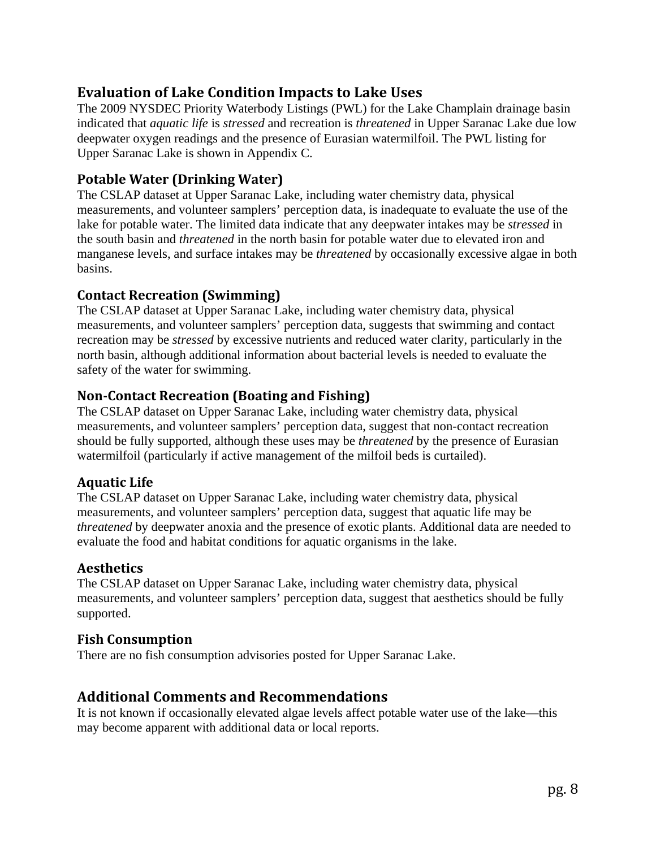# **Evaluation of Lake Condition Impacts to Lake Uses**

The 2009 NYSDEC Priority Waterbody Listings (PWL) for the Lake Champlain drainage basin indicated that *aquatic life* is *stressed* and recreation is *threatened* in Upper Saranac Lake due low deepwater oxygen readings and the presence of Eurasian watermilfoil. The PWL listing for Upper Saranac Lake is shown in Appendix C.

## **Potable Water (Drinking Water)**

The CSLAP dataset at Upper Saranac Lake, including water chemistry data, physical measurements, and volunteer samplers' perception data, is inadequate to evaluate the use of the lake for potable water. The limited data indicate that any deepwater intakes may be *stressed* in the south basin and *threatened* in the north basin for potable water due to elevated iron and manganese levels, and surface intakes may be *threatened* by occasionally excessive algae in both basins.

## **Contact Recreation (Swimming)**

The CSLAP dataset at Upper Saranac Lake, including water chemistry data, physical measurements, and volunteer samplers' perception data, suggests that swimming and contact recreation may be *stressed* by excessive nutrients and reduced water clarity, particularly in the north basin, although additional information about bacterial levels is needed to evaluate the safety of the water for swimming.

## **NonContact Recreation (Boating and Fishing)**

The CSLAP dataset on Upper Saranac Lake, including water chemistry data, physical measurements, and volunteer samplers' perception data, suggest that non-contact recreation should be fully supported, although these uses may be *threatened* by the presence of Eurasian watermilfoil (particularly if active management of the milfoil beds is curtailed).

## **Aquatic Life**

The CSLAP dataset on Upper Saranac Lake, including water chemistry data, physical measurements, and volunteer samplers' perception data, suggest that aquatic life may be *threatened* by deepwater anoxia and the presence of exotic plants. Additional data are needed to evaluate the food and habitat conditions for aquatic organisms in the lake.

## **Aesthetics**

The CSLAP dataset on Upper Saranac Lake, including water chemistry data, physical measurements, and volunteer samplers' perception data, suggest that aesthetics should be fully supported.

## **Fish Consumption**

There are no fish consumption advisories posted for Upper Saranac Lake.

## **Additional Comments and Recommendations**

It is not known if occasionally elevated algae levels affect potable water use of the lake—this may become apparent with additional data or local reports.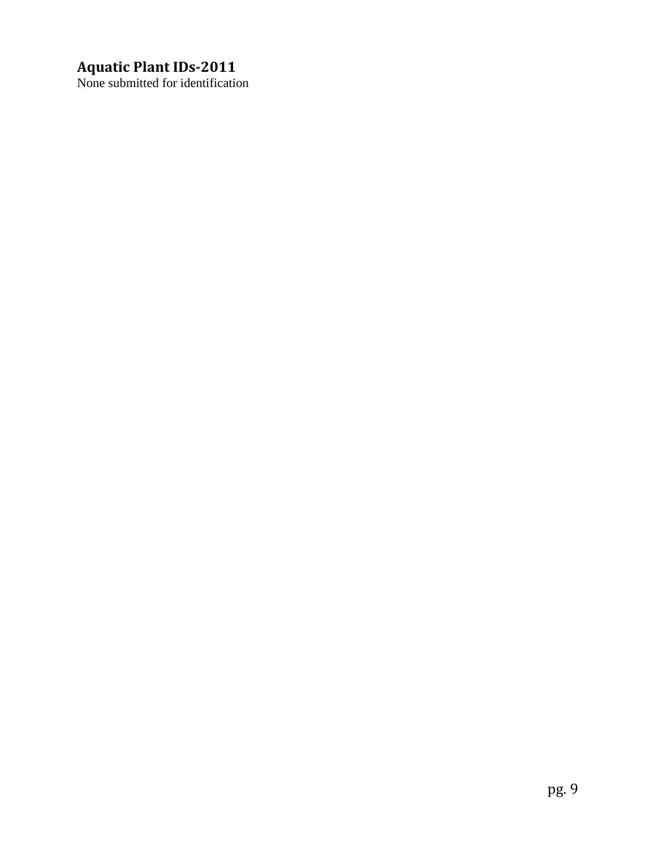# **Aquatic Plant IDs2011**

None submitted for identification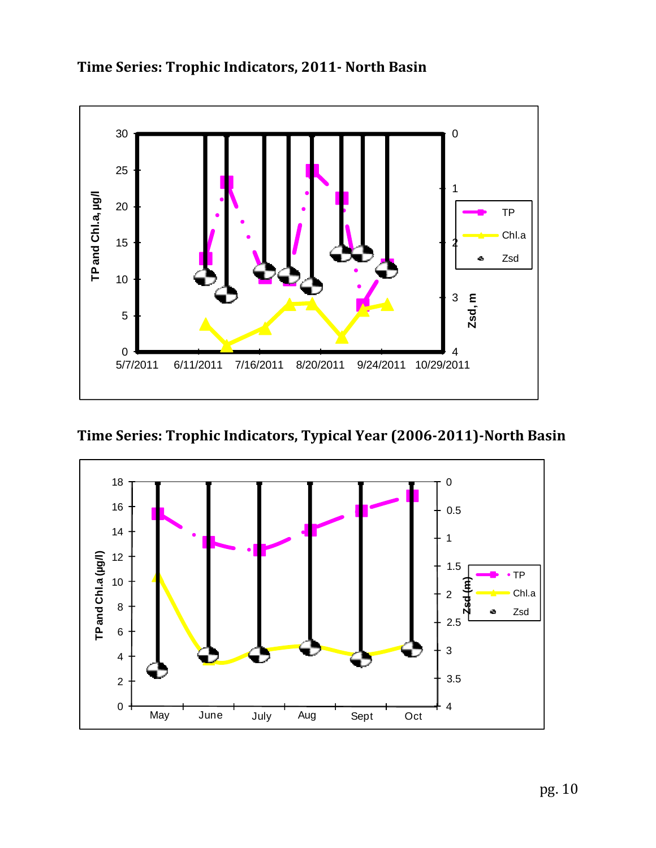

**Time Series: Trophic Indicators, 2011 North Basin** 

**Time Series: Trophic Indicators, Typical Year (20062011)North Basin**

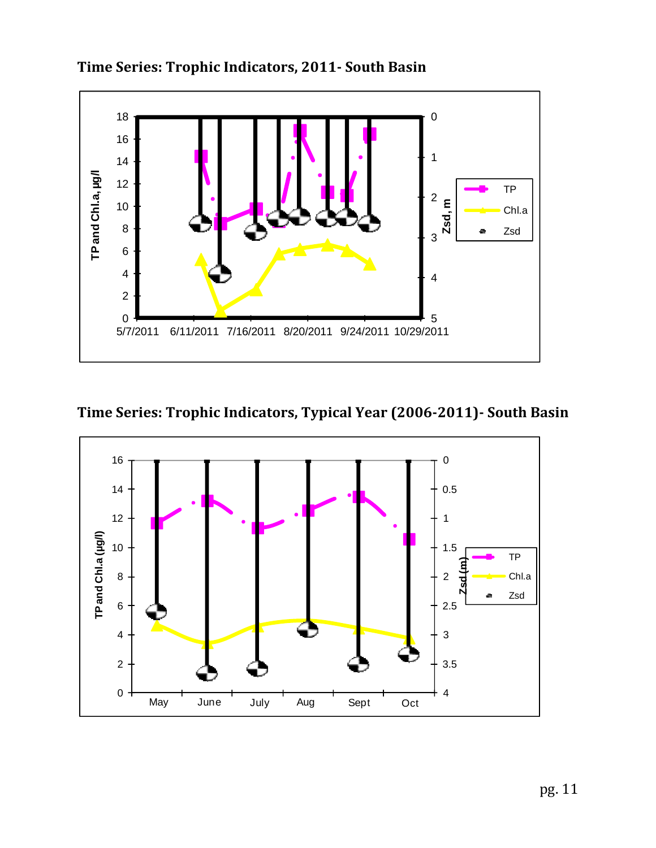

**Time Series: Trophic Indicators, 2011 South Basin** 

**Time Series: Trophic Indicators, Typical Year (20062011) South Basin**

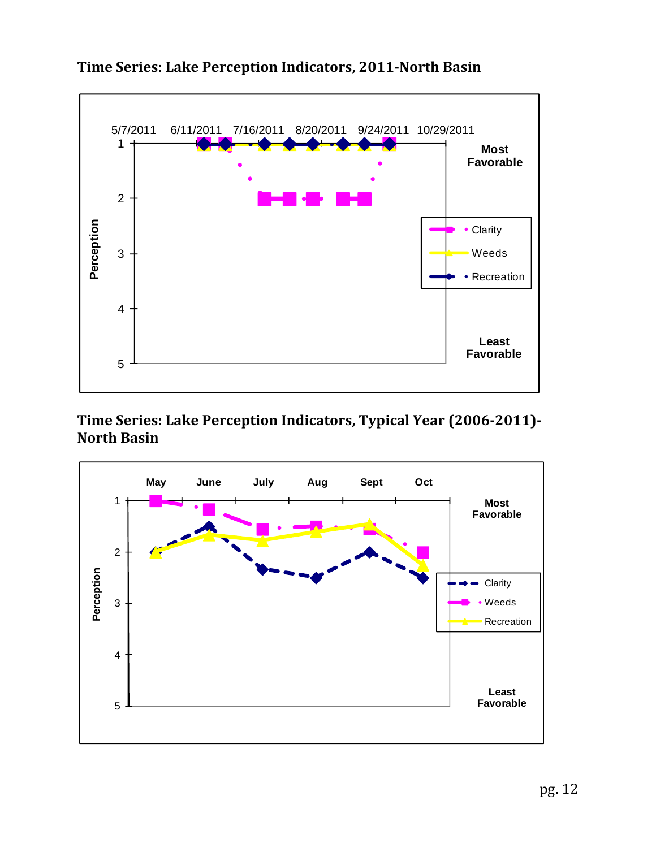

# **Time Series: Lake Perception Indicators, 2011North Basin**

# **Time Series: Lake Perception Indicators, Typical Year (20062011) North Basin**

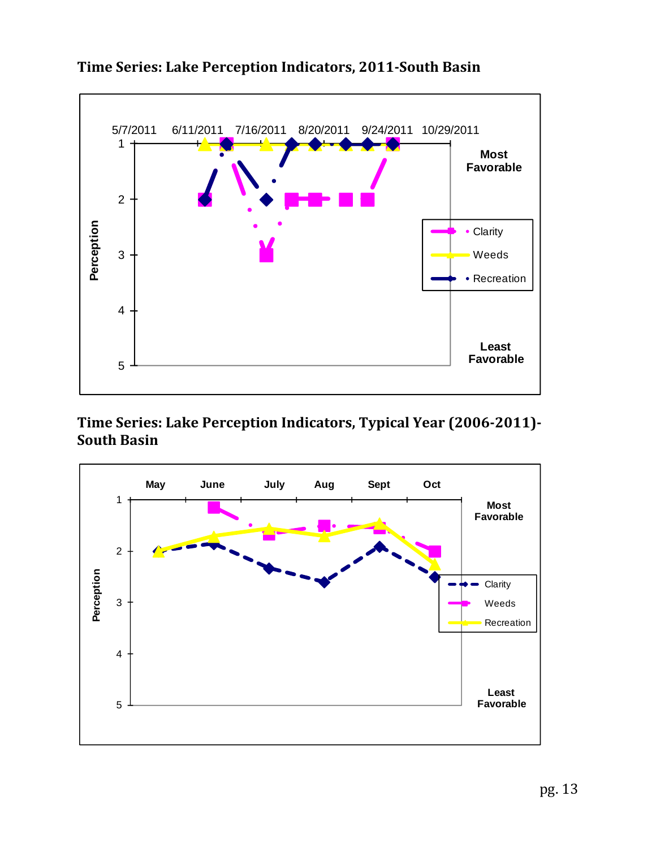

# **Time Series: Lake Perception Indicators, 2011South Basin**

**Time Series: Lake Perception Indicators, Typical Year (20062011) South Basin**

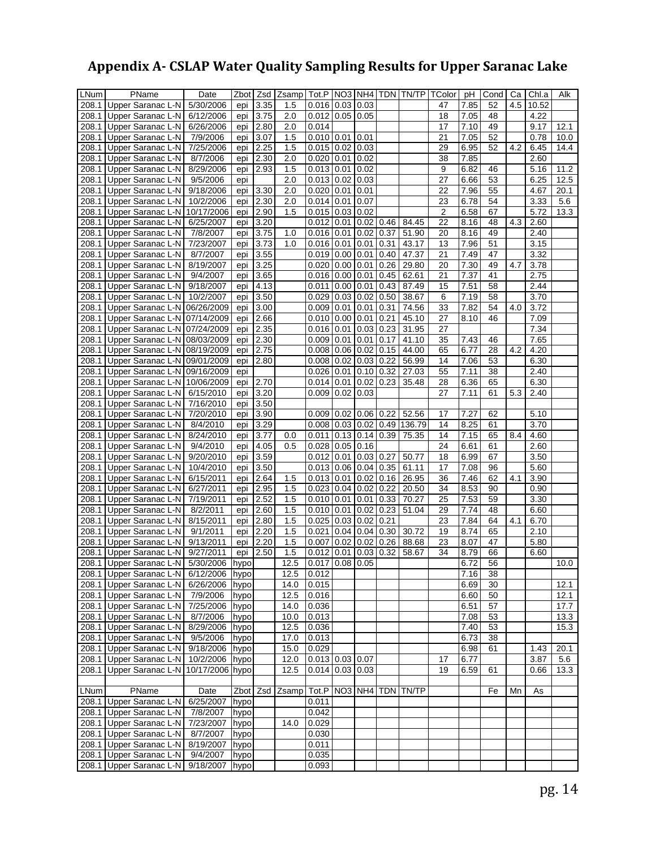# **Appendix A CSLAP Water Quality Sampling Results for Upper Saranac Lake**

| LNum  | PName                                  | Date            | Zbot     | Zsd  | Zsamp |                       |                  |      |      | Tot.P   NO3   NH4   TDN   TN/TP | TColor          | рH   | Cond            | Ca  | Chl.a | Alk  |
|-------|----------------------------------------|-----------------|----------|------|-------|-----------------------|------------------|------|------|---------------------------------|-----------------|------|-----------------|-----|-------|------|
| 208.1 | Upper Saranac L-N                      | 5/30/2006       | epi      | 3.35 | 1.5   | 0.016                 | $0.03 \mid 0.03$ |      |      |                                 | 47              | 7.85 | 52              | 4.5 | 10.52 |      |
| 208.1 | Upper Saranac L-N                      | 6/12/2006       | epi      | 3.75 | 2.0   | 0.012                 | $0.05$ 0.05      |      |      |                                 | 18              | 7.05 | 48              |     | 4.22  |      |
| 208.1 | Upper Saranac L-N                      | 6/26/2006       | epi      | 2.80 | 2.0   | 0.014                 |                  |      |      |                                 | 17              | 7.10 | 49              |     | 9.17  | 12.1 |
| 208.1 | Upper Saranac L-N                      | 7/9/2006        | epi      | 3.07 | 1.5   | 0.010                 | 0.01             | 0.01 |      |                                 | 21              | 7.05 | 52              |     | 0.78  | 10.0 |
|       |                                        |                 |          |      |       |                       |                  |      |      |                                 |                 |      |                 |     |       |      |
| 208.1 | Upper Saranac L-N                      | 7/25/2006       | epi      | 2.25 | 1.5   | 0.015                 | 0.02             | 0.03 |      |                                 | 29              | 6.95 | 52              | 4.2 | 6.45  | 14.4 |
| 208.1 | Upper Saranac L-N                      | 8/7/2006        | epi      | 2.30 | 2.0   | 0.020                 | 0.01             | 0.02 |      |                                 | $\overline{38}$ | 7.85 |                 |     | 2.60  |      |
| 208.1 | Upper Saranac L-N                      | 8/29/2006       | epi      | 2.93 | 1.5   | 0.013                 | 0.01             | 0.02 |      |                                 | 9               | 6.82 | 46              |     | 5.16  | 11.2 |
| 208.1 | Upper Saranac L-N                      | 9/5/2006        | epi      |      | 2.0   | 0.013                 | 0.02             | 0.03 |      |                                 | 27              | 6.66 | 53              |     | 6.25  | 12.5 |
| 208.1 | Upper Saranac L-N                      | 9/18/2006       | epi      | 3.30 | 2.0   | 0.020                 | 0.01             | 0.01 |      |                                 | 22              | 7.96 | 55              |     | 4.67  | 20.1 |
| 208.1 | Upper Saranac L-N                      | 10/2/2006       | epi      | 2.30 | 2.0   | 0.014                 | 0.01             | 0.07 |      |                                 | $\overline{23}$ | 6.78 | 54              |     | 3.33  | 5.6  |
| 208.1 | Upper Saranac L-N                      | 10/17/2006      | epi      | 2.90 | 1.5   | 0.015                 | 0.03             | 0.02 |      |                                 | $\overline{2}$  | 6.58 | 67              |     | 5.72  | 13.3 |
| 208.1 | Upper Saranac L-N                      | 6/25/2007       | epi      | 3.20 |       | 0.012                 | 0.01             | 0.02 | 0.46 | 84.45                           | $\overline{22}$ | 8.16 | 48              | 4.3 | 2.60  |      |
| 208.1 | Upper Saranac L-N                      | 7/8/2007        | epi      | 3.75 | 1.0   | 0.016                 | 0.01             | 0.02 | 0.37 | 51.90                           | 20              | 8.16 | 49              |     | 2.40  |      |
| 208.1 | Upper Saranac L-N                      | 7/23/2007       | epi      | 3.73 | 1.0   | 0.016                 | 0.01             | 0.01 | 0.31 | 43.17                           | 13              | 7.96 | 51              |     | 3.15  |      |
| 208.1 | Upper Saranac L-N                      | 8/7/2007        | epi      | 3.55 |       | 0.019                 | 0.00             | 0.01 | 0.40 | 47.37                           | 21              | 7.49 | 47              |     | 3.32  |      |
|       |                                        |                 |          | 3.25 |       |                       |                  |      | 0.26 |                                 | 20              | 7.30 | 49              | 4.7 |       |      |
| 208.1 | Upper Saranac L-N                      | 8/19/2007       | epi      |      |       | 0.020                 | 0.00             | 0.01 |      | 29.80                           |                 |      |                 |     | 3.78  |      |
| 208.1 | Upper Saranac L-N                      | 9/4/2007        | epi      | 3.65 |       | 0.016                 | 0.00             | 0.01 | 0.45 | 62.61                           | 21              | 7.37 | 41              |     | 2.75  |      |
| 208.1 | Upper Saranac L-N                      | 9/18/2007       | epi      | 4.13 |       | 0.011                 | 0.00             | 0.01 | 0.43 | 87.49                           | 15              | 7.51 | 58              |     | 2.44  |      |
| 208.1 | Upper Saranac L-N                      | 10/2/2007       | epi      | 3.50 |       | 0.029                 | 0.03             | 0.02 | 0.50 | 38.67                           | 6               | 7.19 | 58              |     | 3.70  |      |
| 208.1 | Upper Saranac L-N                      | 06/26/2009      | epi      | 3.00 |       | 0.009                 | 0.01             | 0.01 | 0.31 | 74.56                           | 33              | 7.82 | 54              | 4.0 | 3.72  |      |
| 208.1 | Upper Saranac L-N                      | 07/14/2009      | epi      | 2.66 |       | 0.010                 | 0.00             | 0.01 | 0.21 | 45.10                           | $\overline{27}$ | 8.10 | 46              |     | 7.09  |      |
| 208.1 | Upper Saranac L-N                      | 07/24/2009      | epi      | 2.35 |       | 0.016                 | 0.01             | 0.03 | 0.23 | 31.95                           | 27              |      |                 |     | 7.34  |      |
| 208.1 | Upper Saranac L-N                      | 08/03/2009      | epi      | 2.30 |       | 0.009                 | 0.01             | 0.01 | 0.17 | 41.10                           | 35              | 7.43 | 46              |     | 7.65  |      |
| 208.1 | Upper Saranac L-N                      | 08/19/2009      | epi      | 2.75 |       | 0.008                 | 0.06             | 0.02 | 0.15 | 44.00                           | 65              | 6.77 | 28              | 4.2 | 4.20  |      |
| 208.1 | Upper Saranac L-N                      | 09/01/2009      | epi      | 2.80 |       | 0.008                 | 0.02             | 0.03 | 0.22 | 56.99                           | 14              | 7.06 | 53              |     | 6.30  |      |
| 208.1 | Upper Saranac L-N                      | 09/16/2009      | epi      |      |       | 0.026                 | 0.01             | 0.10 | 0.32 | 27.03                           | 55              | 7.11 | 38              |     | 2.40  |      |
|       | Upper Saranac L-N                      |                 |          |      |       |                       |                  |      |      |                                 |                 | 6.36 |                 |     | 6.30  |      |
| 208.1 |                                        | 10/06/2009      | epi      | 2.70 |       | 0.014                 | 0.01             | 0.02 | 0.23 | 35.48                           | 28              |      | 65              |     |       |      |
| 208.1 | Upper Saranac L-N                      | 6/15/2010       | epi      | 3.20 |       | 0.009                 | 0.02             | 0.03 |      |                                 | 27              | 7.11 | 61              | 5.3 | 2.40  |      |
| 208.1 | Upper Saranac L-N                      | 7/16/2010       | epi      | 3.50 |       |                       |                  |      |      |                                 |                 |      |                 |     |       |      |
| 208.1 | Upper Saranac L-N                      | 7/20/2010       | epi      | 3.90 |       | 0.009                 | 0.02             | 0.06 | 0.22 | 52.56                           | 17              | 7.27 | 62              |     | 5.10  |      |
| 208.1 | Upper Saranac L-N                      | 8/4/2010        | epi      | 3.29 |       | 0.008                 | 0.03             | 0.02 | 0.49 | 136.79                          | 14              | 8.25 | 61              |     | 3.70  |      |
| 208.1 | Upper Saranac L-N                      | 8/24/2010       | epi      | 3.77 | 0.0   | 0.011                 | 0.13             | 0.14 | 0.39 | 75.35                           | 14              | 7.15 | 65              | 8.4 | 4.60  |      |
| 208.1 | Upper Saranac L-N                      | 9/4/2010        | epi      | 4.05 | 0.5   | 0.028                 | 0.05             | 0.16 |      |                                 | 24              | 6.61 | 61              |     | 2.60  |      |
| 208.1 | Upper Saranac L-N                      | 9/20/2010       | epi      | 3.59 |       | 0.012                 | 0.01             | 0.03 | 0.27 | 50.77                           | 18              | 6.99 | 67              |     | 3.50  |      |
| 208.1 | Upper Saranac L-N                      | 10/4/2010       | epi      | 3.50 |       | 0.013                 | 0.06             | 0.04 | 0.35 | 61.11                           | 17              | 7.08 | 96              |     | 5.60  |      |
| 208.1 | Upper Saranac L-N                      | 6/15/2011       | epi      | 2.64 | 1.5   | 0.013                 | 0.01             | 0.02 | 0.16 | 26.95                           | 36              | 7.46 | 62              | 4.1 | 3.90  |      |
| 208.1 | Upper Saranac L-N                      | 6/27/2011       | epi      | 2.95 | 1.5   | 0.023                 | 0.04             | 0.02 | 0.22 | 20.50                           | 34              | 8.53 | 90              |     | 0.90  |      |
| 208.1 | Upper Saranac L-N                      | 7/19/2011       | epi      | 2.52 | 1.5   | 0.010                 | 0.01             | 0.01 | 0.33 | 70.27                           | 25              | 7.53 | 59              |     | 3.30  |      |
| 208.1 | Upper Saranac L-N                      | 8/2/2011        | epi      | 2.60 | 1.5   | 0.010                 | 0.01             | 0.02 | 0.23 | 51.04                           | 29              | 7.74 | 48              |     | 6.60  |      |
| 208.1 | Upper Saranac L-N                      | 8/15/2011       |          | 2.80 | 1.5   | 0.025                 | 0.03             | 0.02 | 0.21 |                                 | 23              | 7.84 | 64              |     | 6.70  |      |
|       |                                        |                 | epi      |      |       |                       |                  |      |      |                                 |                 |      |                 | 4.1 |       |      |
| 208.1 | Upper Saranac L-N                      | 9/1/2011        | epi      | 2.20 | 1.5   | 0.021                 | 0.04             | 0.04 | 0.30 | 30.72                           | 19              | 8.74 | 65              |     | 2.10  |      |
| 208.1 | Upper Saranac L-N                      | 9/13/2011       | epi      | 2.20 | 1.5   | 0.007                 | 0.02             | 0.02 | 0.26 | 88.68                           | 23              | 8.07 | 47              |     | 5.80  |      |
|       | 208.1 Upper Saranac L-N                | 9/27/2011       | epi      | 2.50 | 1.5   | 0.012                 | 0.01             | 0.03 | 0.32 | 58.67                           | 34              | 8.79 | 66              |     | 6.60  |      |
|       | 208.1 Upper Saranac L-N                | 5/30/2006       | hypo     |      | 12.5  | 0.017                 | 0.08             | 0.05 |      |                                 |                 | 6.72 | 56              |     |       | 10.0 |
|       | 208.1 Upper Saranac L-N 6/12/2006 hypo |                 |          |      | 12.5  | 0.012                 |                  |      |      |                                 |                 | 7.16 | 38              |     |       |      |
|       | 208.1 Upper Saranac L-N 6/26/2006 hypo |                 |          |      | 14.0  | 0.015                 |                  |      |      |                                 |                 | 6.69 | 30              |     |       | 12.1 |
|       | 208.1 Upper Saranac L-N 7/9/2006       |                 | hypo     |      | 12.5  | 0.016                 |                  |      |      |                                 |                 | 6.60 | 50              |     |       | 12.1 |
|       | 208.1 Upper Saranac L-N                | 7/25/2006 hypo  |          |      | 14.0  | 0.036                 |                  |      |      |                                 |                 | 6.51 | $\overline{57}$ |     |       | 17.7 |
|       | 208.1 Upper Saranac L-N 8/7/2006       |                 | hypo     |      | 10.0  | 0.013                 |                  |      |      |                                 |                 | 7.08 | 53              |     |       | 13.3 |
|       | 208.1 Upper Saranac L-N 8/29/2006      |                 | hypo     |      | 12.5  | 0.036                 |                  |      |      |                                 |                 | 7.40 | 53              |     |       | 15.3 |
|       | 208.1 Upper Saranac L-N                | 9/5/2006        | hypo     |      | 17.0  | 0.013                 |                  |      |      |                                 |                 | 6.73 | 38              |     |       |      |
|       | 208.1 Upper Saranac L-N 9/18/2006 hypo |                 |          |      | 15.0  | 0.029                 |                  |      |      |                                 |                 | 6.98 | 61              |     | 1.43  | 20.1 |
|       | 208.1 Upper Saranac L-N 10/2/2006 hypo |                 |          |      |       | $0.013$ $0.03$ $0.07$ |                  |      |      |                                 |                 | 6.77 |                 |     |       | 5.6  |
|       |                                        |                 |          |      | 12.0  |                       |                  |      |      |                                 | 17              |      |                 |     | 3.87  |      |
|       | 208.1 Upper Saranac L-N                | 10/17/2006 hypo |          |      | 12.5  | $0.014$ 0.03 0.03     |                  |      |      |                                 | 19              | 6.59 | 61              |     | 0.66  | 13.3 |
|       |                                        |                 |          |      |       |                       |                  |      |      |                                 |                 |      |                 |     |       |      |
| LNum  | PName                                  | Date            | Zbot Zsd |      | Zsamp |                       |                  |      |      | Tot.P   NO3   NH4   TDN   TN/TP |                 |      | Fe              | Mn  | As    |      |
|       | 208.1 Upper Saranac L-N                | 6/25/2007       | hypo     |      |       | 0.011                 |                  |      |      |                                 |                 |      |                 |     |       |      |
|       | 208.1 Upper Saranac L-N                | 7/8/2007        | hypo     |      |       | 0.042                 |                  |      |      |                                 |                 |      |                 |     |       |      |
|       | 208.1 Upper Saranac L-N                | 7/23/2007       | hypo     |      | 14.0  | 0.029                 |                  |      |      |                                 |                 |      |                 |     |       |      |
|       | 208.1 Upper Saranac L-N                | 8/7/2007        | hypo     |      |       | 0.030                 |                  |      |      |                                 |                 |      |                 |     |       |      |
|       | 208.1 Upper Saranac L-N                | 8/19/2007       | hypo     |      |       | 0.011                 |                  |      |      |                                 |                 |      |                 |     |       |      |
|       | 208.1 Upper Saranac L-N                | 9/4/2007        | hypo     |      |       | 0.035                 |                  |      |      |                                 |                 |      |                 |     |       |      |
|       | 208.1 Upper Saranac L-N                | 9/18/2007 hypo  |          |      |       | 0.093                 |                  |      |      |                                 |                 |      |                 |     |       |      |
|       |                                        |                 |          |      |       |                       |                  |      |      |                                 |                 |      |                 |     |       |      |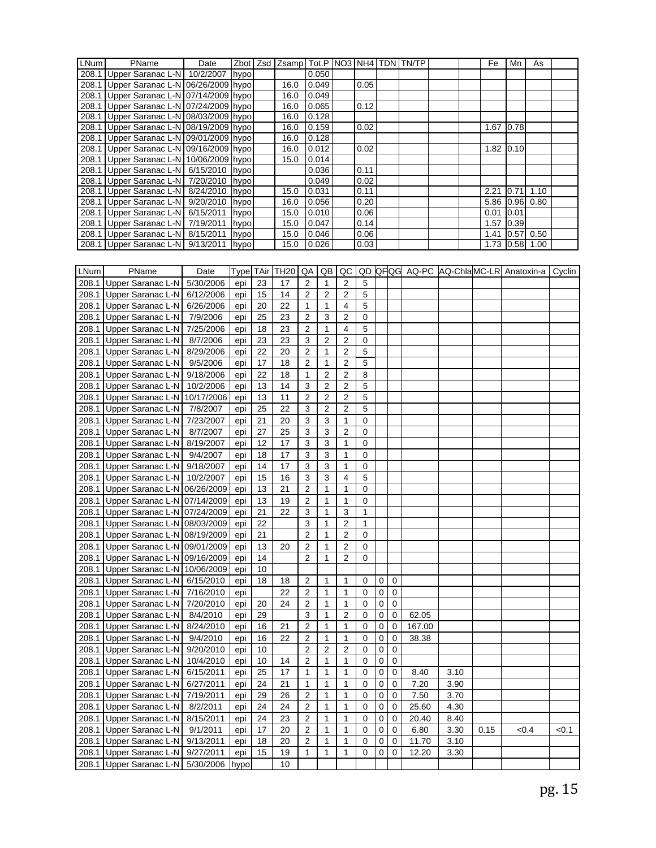| <b>LNum</b> | PName                                   | Date |      |    | Zbot   Zsd   Zsamp   Tot.P   NO3   NH4   TDN   TN/TP |                           |                |                         |              |   |             |        |      | Fe   | Mn             | As   |                                              |
|-------------|-----------------------------------------|------|------|----|------------------------------------------------------|---------------------------|----------------|-------------------------|--------------|---|-------------|--------|------|------|----------------|------|----------------------------------------------|
|             | 208.1 Upper Saranac L-N 10/2/2007 hypo  |      |      |    |                                                      |                           | 0.050          |                         |              |   |             |        |      |      |                |      |                                              |
|             | 208.1 Upper Saranac L-N 06/26/2009 hypo |      |      |    | 16.0                                                 |                           | 0.049          |                         | 0.05         |   |             |        |      |      |                |      |                                              |
|             | 208.1 Upper Saranac L-N 07/14/2009 hypo |      |      |    | 16.0                                                 |                           | 0.049          |                         |              |   |             |        |      |      |                |      |                                              |
|             |                                         |      |      |    |                                                      |                           |                |                         |              |   |             |        |      |      |                |      |                                              |
|             | 208.1 Upper Saranac L-N 07/24/2009 hypo |      |      |    | 16.0                                                 |                           | 0.065          |                         | 0.12         |   |             |        |      |      |                |      |                                              |
|             | 208.1 Upper Saranac L-N 08/03/2009 hypo |      |      |    | 16.0                                                 |                           | 0.128          |                         |              |   |             |        |      |      |                |      |                                              |
|             | 208.1 Upper Saranac L-N 08/19/2009 hypo |      |      |    | 16.0                                                 |                           | 0.159          |                         | 0.02         |   |             |        |      |      | 1.67 0.78      |      |                                              |
|             | 208.1 Upper Saranac L-N 09/01/2009 hypo |      |      |    | 16.0                                                 |                           | 0.128          |                         |              |   |             |        |      |      |                |      |                                              |
|             | 208.1 Upper Saranac L-N 09/16/2009 hypo |      |      |    | $\overline{16.0}$                                    |                           | 0.012          |                         | 0.02         |   |             |        |      |      | 1.82 0.10      |      |                                              |
|             | 208.1 Upper Saranac L-N 10/06/2009 hypo |      |      |    | 15.0                                                 |                           | 0.014          |                         |              |   |             |        |      |      |                |      |                                              |
|             | 208.1 Upper Saranac L-N 6/15/2010 hypo  |      |      |    |                                                      |                           | 0.036          |                         | 0.11         |   |             |        |      |      |                |      |                                              |
|             | 208.1 Upper Saranac L-N 7/20/2010 hypo  |      |      |    |                                                      |                           | 0.049          |                         | 0.02         |   |             |        |      |      |                |      |                                              |
|             | 208.1 Upper Saranac L-N 8/24/2010 hypo  |      |      |    | 15.0                                                 |                           | 0.031          |                         | 0.11         |   |             |        |      | 2.21 | 0.71           | 1.10 |                                              |
|             | 208.1 Upper Saranac L-N 9/20/2010 hypo  |      |      |    | 16.0                                                 |                           | 0.056          |                         | 0.20         |   |             |        |      |      | 5.86 0.96      | 0.80 |                                              |
|             | 208.1 Upper Saranac L-N 6/15/2011       |      | hypo |    | 15.0                                                 |                           | 0.010          |                         | 0.06         |   |             |        |      |      | $0.01$ 0.01    |      |                                              |
|             | 208.1 Upper Saranac L-N 7/19/2011       |      | hypo |    | 15.0                                                 |                           | 0.047          |                         | 0.14         |   |             |        |      |      | $1.57$ 0.39    |      |                                              |
|             | 208.1 Upper Saranac L-N 8/15/2011 hypo  |      |      |    | 15.0                                                 |                           | 0.046          |                         | 0.06         |   |             |        |      |      | 1.41 0.57 0.50 |      |                                              |
|             | 208.1 Upper Saranac L-N 9/13/2011       |      | hypo |    | 15.0                                                 |                           | 0.026          |                         | 0.03         |   |             |        |      |      | $1.73$ 0.58    | 1.00 |                                              |
|             |                                         |      |      |    |                                                      |                           |                |                         |              |   |             |        |      |      |                |      |                                              |
|             |                                         |      |      |    |                                                      |                           |                |                         |              |   |             |        |      |      |                |      |                                              |
| LNum        | PName                                   | Date |      |    | Type TAir TH20                                       | QA                        | QB             | QC                      |              |   |             |        |      |      |                |      | QD QFQG AQ-PC AQ-ChlaMC-LR Anatoxin-a Cyclin |
|             | 208.1 Upper Saranac L-N 5/30/2006       |      | epi  | 23 | 17                                                   | $\overline{c}$            | $\mathbf{1}$   | $\sqrt{2}$              | 5            |   |             |        |      |      |                |      |                                              |
|             |                                         |      |      |    |                                                      |                           |                | $\overline{2}$          | 5            |   |             |        |      |      |                |      |                                              |
|             | 208.1 Upper Saranac L-N 6/12/2006       |      | epi  | 15 | 14                                                   | $\overline{2}$            | $\overline{2}$ |                         |              |   |             |        |      |      |                |      |                                              |
|             | 208.1 Upper Saranac L-N 6/26/2006       |      | epi  | 20 | 22                                                   | 1                         | 1              | $\overline{\mathbf{4}}$ | 5            |   |             |        |      |      |                |      |                                              |
|             | 208.1 Upper Saranac L-N 7/9/2006        |      | epi  | 25 | 23                                                   | $\sqrt{2}$                | 3              | $\overline{2}$          | $\pmb{0}$    |   |             |        |      |      |                |      |                                              |
|             | 208.1 Upper Saranac L-N 7/25/2006       |      | epi  | 18 | 23                                                   | $\mathbf 2$               | $\mathbf{1}$   | 4                       | 5            |   |             |        |      |      |                |      |                                              |
|             | 208.1 Upper Saranac L-N 8/7/2006        |      | epi  | 23 | 23                                                   | 3                         | $\overline{2}$ | $\sqrt{2}$              | $\mathbf 0$  |   |             |        |      |      |                |      |                                              |
|             | 208.1 Upper Saranac L-N 8/29/2006       |      | epi  | 22 | 20                                                   | $\overline{2}$            | $\mathbf{1}$   | $\overline{2}$          | 5            |   |             |        |      |      |                |      |                                              |
|             | 208.1 Upper Saranac L-N 9/5/2006        |      | epi  | 17 | 18                                                   | $\sqrt{2}$                | $\mathbf{1}$   | $\sqrt{2}$              | 5            |   |             |        |      |      |                |      |                                              |
|             |                                         |      |      |    |                                                      |                           |                |                         |              |   |             |        |      |      |                |      |                                              |
|             | 208.1 Upper Saranac L-N 9/18/2006       |      | epi  | 22 | 18                                                   | $\mathbf{1}$              | $\overline{2}$ | $\overline{2}$          | 8            |   |             |        |      |      |                |      |                                              |
|             | 208.1 Upper Saranac L-N 10/2/2006       |      | epi  | 13 | 14                                                   | 3                         | 2              | $\overline{c}$          | 5            |   |             |        |      |      |                |      |                                              |
|             | 208.1 Upper Saranac L-N 10/17/2006      |      | epi  | 13 | 11                                                   | $\overline{2}$            | $\overline{2}$ | $\overline{2}$          | $\sqrt{5}$   |   |             |        |      |      |                |      |                                              |
|             | 208.1 Upper Saranac L-N 7/8/2007        |      | epi  | 25 | 22                                                   | 3                         | $\overline{2}$ | $\overline{c}$          | 5            |   |             |        |      |      |                |      |                                              |
|             | 208.1 Upper Saranac L-N 7/23/2007       |      | epi  | 21 | 20                                                   | $\ensuremath{\mathsf{3}}$ | 3              | $\mathbf{1}$            | $\pmb{0}$    |   |             |        |      |      |                |      |                                              |
|             | 208.1 Upper Saranac L-N 8/7/2007        |      | epi  | 27 | 25                                                   | 3                         | 3              | $\sqrt{2}$              | $\mathbf 0$  |   |             |        |      |      |                |      |                                              |
|             |                                         |      |      |    | 17                                                   | 3                         |                |                         | $\mathbf 0$  |   |             |        |      |      |                |      |                                              |
|             | 208.1 Upper Saranac L-N 8/19/2007       |      | epi  | 12 |                                                      |                           | 3              | 1                       |              |   |             |        |      |      |                |      |                                              |
|             | 208.1 Upper Saranac L-N 9/4/2007        |      | epi  | 18 | 17                                                   | 3                         | 3              | 1                       | $\mathbf 0$  |   |             |        |      |      |                |      |                                              |
|             | 208.1 Upper Saranac L-N 9/18/2007       |      | epi  | 14 | 17                                                   | 3                         | 3              | 1                       | $\mathbf 0$  |   |             |        |      |      |                |      |                                              |
|             | 208.1 Upper Saranac L-N 10/2/2007       |      | epi  | 15 | 16                                                   | 3                         | 3              | $\overline{4}$          | 5            |   |             |        |      |      |                |      |                                              |
|             | 208.1 Upper Saranac L-N 06/26/2009      |      | epi  | 13 | 21                                                   | 2                         | 1              | 1                       | 0            |   |             |        |      |      |                |      |                                              |
|             | 208.1 Upper Saranac L-N 07/14/2009      |      | epi  | 13 | 19                                                   | 2                         | 1              | $\mathbf{1}$            | $\mathbf{0}$ |   |             |        |      |      |                |      |                                              |
|             | 208.1 Upper Saranac L-N 07/24/2009      |      | epi  | 21 | 22                                                   | 3                         | 1              | $\mathsf 3$             | $\mathbf{1}$ |   |             |        |      |      |                |      |                                              |
|             |                                         |      |      |    |                                                      |                           |                | $\sqrt{2}$              | $\mathbf{1}$ |   |             |        |      |      |                |      |                                              |
|             | 208.1 Upper Saranac L-N 08/03/2009      |      | epi  | 22 |                                                      | 3                         | $\mathbf{1}$   |                         |              |   |             |        |      |      |                |      |                                              |
|             | 208.1 Upper Saranac L-N 08/19/2009      |      | epi  | 21 |                                                      | $\overline{2}$            | 1              | $\overline{2}$          | $\mathbf 0$  |   |             |        |      |      |                |      |                                              |
|             | 208.1 Upper Saranac L-N 09/01/2009      |      | epi  | 13 | 20                                                   | 2                         | 1              | $\boldsymbol{2}$        | $\mathbf 0$  |   |             |        |      |      |                |      |                                              |
|             | 208.1 Upper Saranac L-N 09/16/2009      |      | epi  | 14 |                                                      | $\overline{2}$            | 1              | 2                       | $\mathbf 0$  |   |             |        |      |      |                |      |                                              |
|             | 208.1 Upper Saranac L-N 10/06/2009      |      | epi  | 10 |                                                      |                           |                |                         |              |   |             |        |      |      |                |      |                                              |
|             | 208.1 Upper Saranac L-N 6/15/2010       |      | epi  | 18 | 18                                                   | 2                         | 1              | $\mathbf{1}$            | $\mathbf 0$  | 0 | $\mathbf 0$ |        |      |      |                |      |                                              |
|             | 208.1 Upper Saranac L-N 7/16/2010       |      | epi  |    | 22                                                   | $\overline{c}$            | $\mathbf{1}$   | $\mathbf{1}$            | $\pmb{0}$    | 0 | 0           |        |      |      |                |      |                                              |
|             | 208.1 Upper Saranac L-N 7/20/2010       |      |      |    |                                                      |                           |                |                         |              |   |             |        |      |      |                |      |                                              |
|             |                                         |      | epi  | 20 | 24                                                   | $\overline{\mathbf{c}}$   | $\mathbf{1}$   | 1                       | $\pmb{0}$    | 0 | $\mathbf 0$ |        |      |      |                |      |                                              |
|             | 208.1 Upper Saranac L-N 8/4/2010        |      | epi  | 29 |                                                      | 3                         | $\mathbf{1}$   | $\sqrt{2}$              | $\pmb{0}$    | 0 | $\mathbf 0$ | 62.05  |      |      |                |      |                                              |
|             | 208.1 Upper Saranac L-N 8/24/2010       |      | epi  | 16 | 21                                                   | $\boldsymbol{2}$          | $\mathbf{1}$   | $\mathbf{1}$            | $\mathbf 0$  | 0 | 0           | 167.00 |      |      |                |      |                                              |
|             | 208.1 Upper Saranac L-N 9/4/2010        |      | epi  | 16 | 22                                                   | $\overline{2}$            | $\mathbf{1}$   | $\mathbf{1}$            | $\mathbf 0$  | 0 | $\mathbf 0$ | 38.38  |      |      |                |      |                                              |
|             | 208.1 Upper Saranac L-N 9/20/2010       |      | epi  | 10 |                                                      | $\overline{\mathbf{c}}$   | $\overline{2}$ | $\sqrt{2}$              | $\pmb{0}$    | 0 | 0           |        |      |      |                |      |                                              |
|             | 208.1 Upper Saranac L-N 10/4/2010       |      | epi  | 10 | 14                                                   | 2                         | 1              | 1                       | 0            | 0 | 0           |        |      |      |                |      |                                              |
|             | 208.1 Upper Saranac L-N 6/15/2011       |      |      | 25 | 17                                                   | $\mathbf{1}$              | $\mathbf{1}$   | $\mathbf{1}$            | $\pmb{0}$    |   | 0           |        | 3.10 |      |                |      |                                              |
|             |                                         |      | epi  |    |                                                      |                           |                |                         |              | 0 |             | 8.40   |      |      |                |      |                                              |
|             | 208.1 Upper Saranac L-N 6/27/2011       |      | epi  | 24 | 21                                                   | $\mathbf{1}$              | $\mathbf{1}$   | $\mathbf{1}$            | $\mathbf 0$  | 0 | 0           | 7.20   | 3.90 |      |                |      |                                              |
|             | 208.1 Upper Saranac L-N 7/19/2011       |      | epi  | 29 | 26                                                   | $\overline{c}$            | $\mathbf{1}$   | $\mathbf{1}$            | $\pmb{0}$    | 0 | 0           | 7.50   | 3.70 |      |                |      |                                              |
|             | 208.1 Upper Saranac L-N 8/2/2011        |      | epi  | 24 | 24                                                   | 2                         | $\mathbf{1}$   | $\mathbf{1}$            | $\mathbf 0$  | 0 | 0           | 25.60  | 4.30 |      |                |      |                                              |
|             | 208.1 Upper Saranac L-N 8/15/2011       |      | epi  | 24 | 23                                                   | 2                         | $\mathbf{1}$   | $\mathbf{1}$            | $\mathbf 0$  | 0 | $\mathbf 0$ | 20.40  | 8.40 |      |                |      |                                              |
|             | 208.1 Upper Saranac L-N 9/1/2011        |      | epi  | 17 | 20                                                   | 2                         | $\mathbf{1}$   | $\mathbf{1}$            | $\mathbf 0$  | 0 | 0           | 6.80   | 3.30 | 0.15 | <0.4           |      | < 0.1                                        |
|             | 208.1 Upper Saranac L-N 9/13/2011       |      | epi  | 18 | 20                                                   | 2                         | $\mathbf{1}$   | $\mathbf{1}$            | $\mathbf 0$  | 0 | 0           | 11.70  | 3.10 |      |                |      |                                              |
|             |                                         |      |      |    |                                                      |                           |                |                         |              |   |             |        |      |      |                |      |                                              |
|             | 208.1 Upper Saranac L-N 9/27/2011       |      | epi  | 15 | 19                                                   | $\mathbf{1}$              | $\mathbf{1}$   | $\mathbf{1}$            | $\mathbf 0$  | 0 | 0           | 12.20  | 3.30 |      |                |      |                                              |
|             | 208.1 Upper Saranac L-N 5/30/2006 hypo  |      |      |    | 10                                                   |                           |                |                         |              |   |             |        |      |      |                |      |                                              |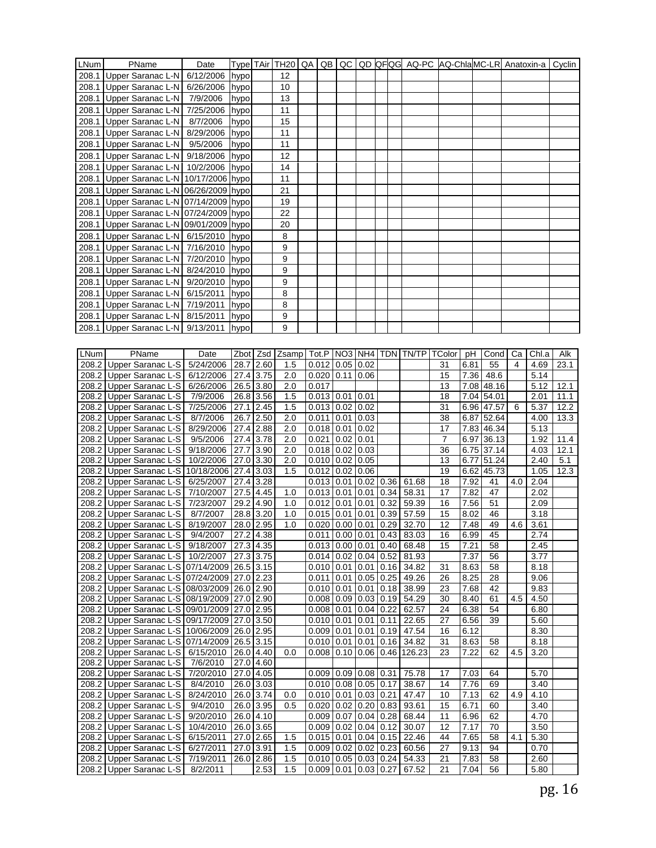| LNum | PName                                                                                        | Date                   | Type TAir                |      | <b>TH20</b> | QA | QB             |                      |                                                        |      | QC QD QFQG AQ-PC AQ-ChlaMC-LR Anatoxin-a |                      |              |                  |     |              | Cyclin      |
|------|----------------------------------------------------------------------------------------------|------------------------|--------------------------|------|-------------|----|----------------|----------------------|--------------------------------------------------------|------|------------------------------------------|----------------------|--------------|------------------|-----|--------------|-------------|
|      | 208.1 Upper Saranac L-N                                                                      | 6/12/2006              | hypo                     |      | 12          |    |                |                      |                                                        |      |                                          |                      |              |                  |     |              |             |
|      | 208.1 Upper Saranac L-N                                                                      | 6/26/2006              | hypo                     |      | 10          |    |                |                      |                                                        |      |                                          |                      |              |                  |     |              |             |
|      | 208.1 Upper Saranac L-N                                                                      | 7/9/2006               | hypo                     |      | 13          |    |                |                      |                                                        |      |                                          |                      |              |                  |     |              |             |
|      |                                                                                              |                        |                          |      | 11          |    |                |                      |                                                        |      |                                          |                      |              |                  |     |              |             |
|      | 208.1 Upper Saranac L-N                                                                      | 7/25/2006              | hypo                     |      |             |    |                |                      |                                                        |      |                                          |                      |              |                  |     |              |             |
|      | 208.1 Upper Saranac L-N                                                                      | 8/7/2006               | hypo                     |      | 15          |    |                |                      |                                                        |      |                                          |                      |              |                  |     |              |             |
|      | 208.1 Upper Saranac L-N                                                                      | 8/29/2006              | hypo                     |      | 11          |    |                |                      |                                                        |      |                                          |                      |              |                  |     |              |             |
|      | 208.1 Upper Saranac L-N                                                                      | 9/5/2006               | hypo                     |      | 11          |    |                |                      |                                                        |      |                                          |                      |              |                  |     |              |             |
|      | 208.1 Upper Saranac L-N                                                                      | 9/18/2006 hypo         |                          |      | 12          |    |                |                      |                                                        |      |                                          |                      |              |                  |     |              |             |
|      | 208.1 Upper Saranac L-N 10/2/2006                                                            |                        | hypo                     |      | 14          |    |                |                      |                                                        |      |                                          |                      |              |                  |     |              |             |
|      | 208.1 Upper Saranac L-N 10/17/2006 hypo                                                      |                        |                          |      | 11          |    |                |                      |                                                        |      |                                          |                      |              |                  |     |              |             |
|      | 208.1 Upper Saranac L-N 06/26/2009 hypo                                                      |                        |                          |      | 21          |    |                |                      |                                                        |      |                                          |                      |              |                  |     |              |             |
|      | 208.1 Upper Saranac L-N 07/14/2009 hypo                                                      |                        |                          |      | 19          |    |                |                      |                                                        |      |                                          |                      |              |                  |     |              |             |
|      | 208.1 Upper Saranac L-N 07/24/2009 hypo                                                      |                        |                          |      | 22          |    |                |                      |                                                        |      |                                          |                      |              |                  |     |              |             |
|      | 208.1 Upper Saranac L-N 09/01/2009 hypo                                                      |                        |                          |      | 20          |    |                |                      |                                                        |      |                                          |                      |              |                  |     |              |             |
|      |                                                                                              |                        |                          |      |             |    |                |                      |                                                        |      |                                          |                      |              |                  |     |              |             |
|      | 208.1 Upper Saranac L-N 6/15/2010                                                            |                        | hypo                     |      | 8           |    |                |                      |                                                        |      |                                          |                      |              |                  |     |              |             |
|      | 208.1 Upper Saranac L-N 7/16/2010 hypo                                                       |                        |                          |      | 9           |    |                |                      |                                                        |      |                                          |                      |              |                  |     |              |             |
|      | 208.1 Upper Saranac L-N 7/20/2010                                                            |                        | hypo                     |      | 9           |    |                |                      |                                                        |      |                                          |                      |              |                  |     |              |             |
|      | 208.1 Upper Saranac L-N 8/24/2010                                                            |                        | hypo                     |      | 9           |    |                |                      |                                                        |      |                                          |                      |              |                  |     |              |             |
|      | 208.1 Upper Saranac L-N 9/20/2010                                                            |                        | hypo                     |      | 9           |    |                |                      |                                                        |      |                                          |                      |              |                  |     |              |             |
|      | 208.1 Upper Saranac L-N                                                                      | 6/15/2011              | hypo                     |      | 8           |    |                |                      |                                                        |      |                                          |                      |              |                  |     |              |             |
|      | 208.1 Upper Saranac L-N                                                                      | 7/19/2011              | hypo                     |      | 8           |    |                |                      |                                                        |      |                                          |                      |              |                  |     |              |             |
|      | 208.1 Upper Saranac L-N 8/15/2011                                                            |                        | hypo                     |      | 9           |    |                |                      |                                                        |      |                                          |                      |              |                  |     |              |             |
|      | 208.1 Upper Saranac L-N                                                                      | 9/13/2011              | hypo                     |      | 9           |    |                |                      |                                                        |      |                                          |                      |              |                  |     |              |             |
|      |                                                                                              |                        |                          |      |             |    |                |                      |                                                        |      |                                          |                      |              |                  |     |              |             |
|      |                                                                                              |                        |                          |      |             |    |                |                      |                                                        |      |                                          |                      |              |                  |     |              |             |
| LNum | PName                                                                                        | Date                   | Zbot Zsd                 |      | Zsamp       |    |                |                      |                                                        |      | Tot.P   NO3   NH4   TDN   TN/TP          | TColor               | рH           | Cond             | Ca  | Chl.a        | Alk         |
|      | 208.2 Upper Saranac L-S                                                                      | 5/24/2006              | 28.7 2.60                |      | 1.5         |    | 0.012          | 0.05                 | 0.02                                                   |      |                                          | 31                   | 6.81         | 55               | 4   | 4.69         | 23.1        |
|      | 208.2 Upper Saranac L-S                                                                      | 6/12/2006              | 27.4 3.75                |      | 2.0         |    | 0.020          | 0.11                 | 0.06                                                   |      |                                          | 15                   | 7.36         | 48.6             |     | 5.14         |             |
|      | 208.2 Upper Saranac L-S                                                                      | 6/26/2006              | 26.5 3.80                |      | 2.0         |    | 0.017          |                      |                                                        |      |                                          | 13                   |              | 7.08 48.16       |     | 5.12         | 12.1        |
|      | 208.2 Upper Saranac L-S                                                                      | 7/9/2006               | 26.8 3.56                |      | 1.5         |    |                | $0.013$ 0.01         | 0.01                                                   |      |                                          | 18                   |              | 7.04 54.01       |     | 2.01         | 11.1        |
|      | 208.2 Upper Saranac L-S                                                                      | 7/25/2006              | 27.1                     | 2.45 | 1.5         |    |                | $0.013$ $0.02$       | 0.02                                                   |      |                                          | 31                   |              | 6.96 47.57       | 6   | 5.37         | 12.2        |
|      | 208.2 Upper Saranac L-S                                                                      | 8/7/2006               | 26.7 2.50                |      | 2.0         |    | 0.011          | 0.01                 | 0.03                                                   |      |                                          | 38                   |              | 6.87 52.64       |     | 4.00         | 13.3        |
|      | 208.2 Upper Saranac L-S                                                                      | 8/29/2006              | 27.4 2.88<br>27.4        |      | 2.0         |    | 0.018<br>0.021 | 0.01                 | 0.02                                                   |      |                                          | 17                   |              | 7.83 46.34       |     | 5.13         |             |
|      | 208.2 Upper Saranac L-S                                                                      | 9/5/2006               | 27.7 3.90                | 3.78 | 2.0         |    |                | 0.02                 | 0.01                                                   |      |                                          | $\overline{7}$<br>36 |              | 6.97 36.13       |     | 1.92         | 11.4        |
|      | 208.2 Upper Saranac L-S                                                                      | 9/18/2006              |                          |      | 2.0         |    |                | $0.018$ 0.02         | 0.03                                                   |      |                                          |                      |              | 6.75 37.14       |     | 4.03         | 12.1        |
|      | 208.2 Upper Saranac L-S                                                                      | 10/2/2006              | 27.0 3.30                |      | 2.0         |    |                | $0.010$ 0.02         | 0.05                                                   |      |                                          | 13                   |              | 6.77 51.24       |     | 2.40         | 5.1<br>12.3 |
|      | 208.2 Upper Saranac L-S                                                                      | 10/18/2006             | 27.4<br>$27.4$ 3.28      | 3.03 | 1.5         |    | 0.013          | $0.012$ 0.02         | 0.06                                                   |      |                                          | 19                   |              | 6.62 45.73<br>41 |     | 1.05         |             |
|      | 208.2 Upper Saranac L-S<br>208.2 Upper Saranac L-S                                           | 6/25/2007<br>7/10/2007 | 27.5 4.45                |      | 1.0         |    |                | 0.01<br>$0.013$ 0.01 | $0.02 \mid 0.36$<br>$0.01$ 0.34                        |      | 61.68<br>58.31                           | 18<br>17             | 7.92<br>7.82 | 47               | 4.0 | 2.04<br>2.02 |             |
|      | 208.2 Upper Saranac L-S                                                                      | 7/23/2007              | 29.2 4.90                |      | 1.0         |    | 0.012          | 0.01                 | 0.01                                                   | 0.32 | 59.39                                    | 16                   | 7.56         | 51               |     | 2.09         |             |
|      | 208.2 Upper Saranac L-S                                                                      | 8/7/2007               | 28.8 3.20                |      | 1.0         |    | 0.015          | 0.01                 | 0.01                                                   | 0.39 | 57.59                                    | 15                   | 8.02         | 46               |     | 3.18         |             |
|      | 208.2 Upper Saranac L-S                                                                      | 8/19/2007              | 28.0 2.95                |      | 1.0         |    | 0.020          |                      | 0.00   0.01   0.29                                     |      | 32.70                                    | 12                   | 7.48         | 49               | 4.6 | 3.61         |             |
|      | 208.2 Upper Saranac L-S                                                                      |                        | 27.2 4.38                |      |             |    |                |                      | $0.011$ $0.00$ $0.01$ $0.43$                           |      |                                          | 16                   | 6.99         | 45               |     | 2.74         |             |
|      | 208.2 Upper Saranac L-S 9/18/2007                                                            | 9/4/2007               |                          |      |             |    |                |                      |                                                        |      | 83.03                                    |                      |              |                  |     |              |             |
|      | 208.2 Upper Saranac L-S 10/2/2007                                                            |                        | 27.3 4.35<br>27.3 3.75   |      |             |    |                |                      | $0.013$ 0.00 0.01 0.40<br>$0.014$ 0.02 0.04 0.52       |      | 68.48<br>81.93                           | 15                   | 7.21<br>7.37 | 58<br>56         |     | 2.45<br>3.77 |             |
|      |                                                                                              |                        |                          |      |             |    |                |                      |                                                        |      |                                          |                      |              |                  |     |              |             |
|      | 208.2 Upper Saranac L-S 07/14/2009 26.5 3.15                                                 |                        |                          |      |             |    |                |                      | $0.010$   0.01   0.01   0.16                           |      | 34.82                                    | 31                   | 8.63         | 58               |     | 8.18         |             |
|      | 208.2 Upper Saranac L-S 07/24/2009 27.0 2.23<br>208.2 Upper Saranac L-S 08/03/2009 26.0 2.90 |                        |                          |      |             |    |                |                      | $0.011$ 0.01 0.05 0.25<br>$0.010$ 0.01 0.01 0.18       |      | 49.26<br>38.99                           | 26<br>23             | 8.25<br>7.68 | 28<br>42         |     | 9.06<br>9.83 |             |
|      |                                                                                              |                        |                          |      |             |    |                |                      |                                                        |      |                                          |                      |              |                  |     |              |             |
|      | 208.2 Upper Saranac L-S 08/19/2009 27.0 2.90<br>208.2 Upper Saranac L-S 09/01/2009 27.0 2.95 |                        |                          |      |             |    |                |                      | $0.008$ 0.09 0.03 0.19                                 |      | 54.29                                    | 30                   | 8.40         | 61<br>54         | 4.5 | 4.50         |             |
|      |                                                                                              |                        |                          |      |             |    |                |                      | $0.008$ 0.01 0.04 0.22                                 |      | 62.57                                    | 24                   | 6.38         |                  |     | 6.80         |             |
|      | 208.2 Upper Saranac L-S 09/17/2009 27.0 3.50                                                 |                        |                          |      |             |    |                |                      | $0.010$ 0.01 0.01 0.11                                 |      | 22.65                                    | 27                   | 6.56         | 39               |     | 5.60         |             |
|      | 208.2 Upper Saranac L-S   10/06/2009   26.0   2.95                                           |                        |                          |      |             |    |                |                      | $0.009$   0.01   0.01   0.19                           |      | 47.54                                    | 16                   | 6.12         |                  |     | 8.30         |             |
|      | 208.2 Upper Saranac L-S 07/14/2009 26.5 3.15                                                 |                        |                          |      |             |    |                | $0.010$ 0.01         | $0.01$ 0.16                                            |      | 34.82                                    | 31                   | 8.63         | 58               |     | 8.18         |             |
|      | 208.2 Upper Saranac L-S   6/15/2010                                                          |                        | 26.0 4.40                |      | 0.0         |    |                | $0.008$ 0.10         |                                                        |      | $0.06 \mid 0.46 \mid 126.23$             | 23                   | 7.22         | 62               | 4.5 | 3.20         |             |
|      | 208.2 Upper Saranac L-S                                                                      | 7/6/2010               | 27.0 4.60                |      |             |    |                |                      |                                                        |      |                                          |                      |              |                  |     |              |             |
|      | 208.2 Upper Saranac L-S                                                                      | 7/20/2010              | 27.0 4.05                |      |             |    |                |                      | $0.009$ 0.09 0.08 0.31                                 |      | 75.78                                    | 17<br>14             | 7.03         | 64               |     | 5.70         |             |
|      | 208.2 Upper Saranac L-S                                                                      | 8/4/2010               | 26.0 3.03                |      |             |    |                |                      | $0.010$ 0.08 0.05 0.17                                 |      | 38.67                                    |                      | 7.76         | 69               |     | 3.40         |             |
|      | 208.2 Upper Saranac L-S   8/24/2010                                                          |                        | 26.0 3.74                |      | 0.0         |    |                |                      | $0.010$ 0.01 0.03 0.21                                 |      | 47.47                                    | 10                   | 7.13         | 62               | 4.9 | 4.10         |             |
|      | 208.2 Upper Saranac L-S                                                                      | 9/4/2010<br>9/20/2010  | 26.0 3.95<br>$26.0$ 4.10 |      | 0.5         |    |                |                      | $0.020$ 0.02 0.20 0.83<br>$0.009$ 0.07 0.04 0.28       |      | 93.61<br>68.44                           | 15<br>11             | 6.71<br>6.96 | 60<br>62         |     | 3.40<br>4.70 |             |
|      | 208.2 Upper Saranac L-S                                                                      |                        |                          |      |             |    |                |                      |                                                        |      |                                          |                      |              |                  |     |              |             |
|      | 208.2 Upper Saranac L-S                                                                      | 10/4/2010<br>6/15/2011 | 26.0 3.65<br>27.0 2.65   |      | 1.5         |    |                |                      | $0.009$ 0.02 0.04 0.12<br>$0.015$   0.01   0.04   0.15 |      | 30.07<br>22.46                           | 12<br>44             | 7.17<br>7.65 | 70<br>58         | 4.1 | 3.50<br>5.30 |             |
|      | 208.2 Upper Saranac L-S<br>208.2 Upper Saranac L-S                                           | 6/27/2011              | 27.0 3.91                |      | 1.5         |    |                | $0.009$ 0.02         | $0.02 \mid 0.23$                                       |      | 60.56                                    | 27                   | 9.13         | 94               |     | 0.70         |             |
|      | 208.2 Upper Saranac L-S                                                                      | 7/19/2011              | 26.0 2.86                |      | 1.5         |    |                |                      |                                                        |      | $0.010$ 0.05 0.03 0.24 54.33             | 21                   | 7.83         | 58               |     | 2.60         |             |
|      | 208.2 Upper Saranac L-S                                                                      | 8/2/2011               |                          | 2.53 | 1.5         |    |                |                      | $0.009$ 0.01 0.03 0.27                                 |      | 67.52                                    | 21                   | 7.04         | 56               |     | 5.80         |             |
|      |                                                                                              |                        |                          |      |             |    |                |                      |                                                        |      |                                          |                      |              |                  |     |              |             |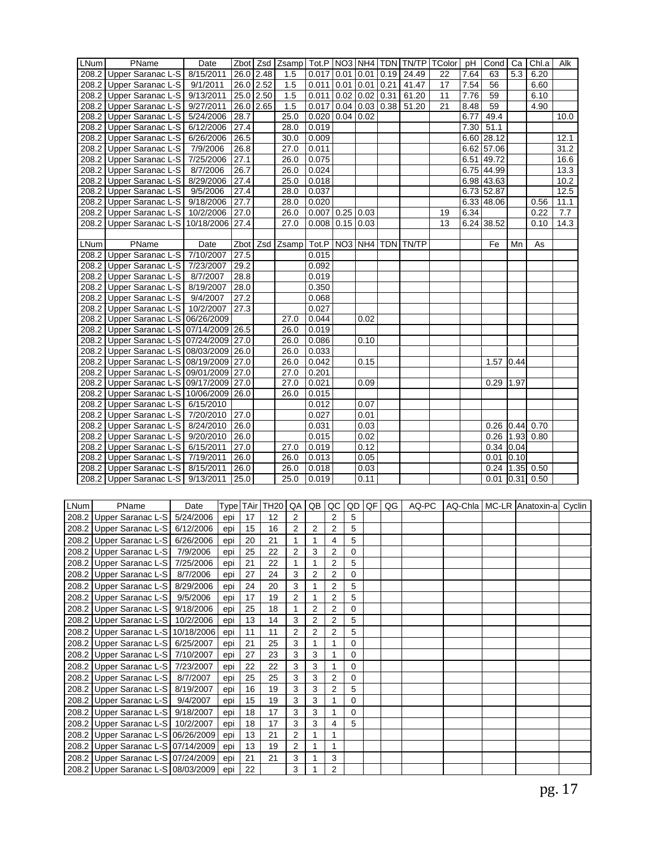| LNum | PName                                   | Date      |           |    | Zbot   Zsd   Zsamp   Tot.P   NO3   NH4   TDN   TN/TP   TColor |                   |                  |      |               |      |                                      |    | pH   | Cond          | Ca   | Chl.a                             | Alk  |
|------|-----------------------------------------|-----------|-----------|----|---------------------------------------------------------------|-------------------|------------------|------|---------------|------|--------------------------------------|----|------|---------------|------|-----------------------------------|------|
|      | 208.2 Upper Saranac L-S                 | 8/15/2011 | 26.0 2.48 |    | 1.5                                                           | $0.017$ 0.01 0.01 |                  |      |               |      | $0.19$ 24.49                         | 22 | 7.64 | 63            | 5.3  | 6.20                              |      |
|      | 208.2 Upper Saranac L-S                 | 9/1/2011  | 26.0 2.52 |    | 1.5                                                           | $0.011$ 0.01      |                  | 0.01 |               | 0.21 | 41.47                                | 17 | 7.54 | 56            |      | 6.60                              |      |
|      | 208.2 Upper Saranac L-S 9/13/2011       |           | 25.0 2.50 |    | 1.5                                                           | 0.011             | $0.02 \mid 0.02$ |      |               | 0.31 | 61.20                                | 11 | 7.76 | 59            |      | 6.10                              |      |
|      | 208.2 Upper Saranac L-S 9/27/2011       |           | 26.0 2.65 |    | 1.5                                                           |                   |                  |      |               |      | $0.017$   0.04   0.03   0.38   51.20 | 21 | 8.48 | 59            |      | 4.90                              |      |
|      | 208.2 Upper Saranac L-S 5/24/2006       |           | 28.7      |    | 25.0                                                          | $0.020$ 0.04 0.02 |                  |      |               |      |                                      |    | 6.77 | 49.4          |      |                                   | 10.0 |
|      | 208.2 Upper Saranac L-S 6/12/2006       |           | 27.4      |    | 28.0                                                          | 0.019             |                  |      |               |      |                                      |    | 7.30 | 51.1          |      |                                   |      |
|      | 208.2 Upper Saranac L-S 6/26/2006       |           | 26.5      |    | 30.0                                                          | 0.009             |                  |      |               |      |                                      |    |      | $6.60$ 28.12  |      |                                   | 12.1 |
|      | 208.2 Upper Saranac L-S 7/9/2006        |           | 26.8      |    | 27.0                                                          | 0.011             |                  |      |               |      |                                      |    |      | 6.62 57.06    |      |                                   | 31.2 |
|      | 208.2 Upper Saranac L-S                 | 7/25/2006 | 27.1      |    | 26.0                                                          | 0.075             |                  |      |               |      |                                      |    |      | 6.51 49.72    |      |                                   | 16.6 |
|      | 208.2 Upper Saranac L-S                 | 8/7/2006  | 26.7      |    | 26.0                                                          | 0.024             |                  |      |               |      |                                      |    |      | $6.75$ 44.99  |      |                                   | 13.3 |
|      | 208.2 Upper Saranac L-S 8/29/2006       |           | 27.4      |    | 25.0                                                          | 0.018             |                  |      |               |      |                                      |    |      | 6.98 43.63    |      |                                   | 10.2 |
|      | 208.2 Upper Saranac L-S                 | 9/5/2006  | 27.4      |    | 28.0                                                          | 0.037             |                  |      |               |      |                                      |    |      | 6.73 52.87    |      |                                   | 12.5 |
|      | 208.2 Upper Saranac L-S 9/18/2006       |           | 27.7      |    | 28.0                                                          | 0.020             |                  |      |               |      |                                      |    |      | 6.33 48.06    |      | 0.56                              | 11.1 |
|      | 208.2 Upper Saranac L-S   10/2/2006     |           | 27.0      |    | 26.0                                                          | $0.007$ 0.25 0.03 |                  |      |               |      |                                      | 19 | 6.34 |               |      | 0.22                              | 7.7  |
|      | 208.2 Upper Saranac L-S 10/18/2006 27.4 |           |           |    | $\overline{27.0}$                                             | $0.008$ 0.15 0.03 |                  |      |               |      |                                      | 13 |      | 6.24 38.52    |      | 0.10                              | 14.3 |
|      |                                         |           |           |    |                                                               |                   |                  |      |               |      |                                      |    |      |               |      |                                   |      |
| LNum | PName                                   | Date      |           |    | Zbot Zsd Zsamp                                                | Tot.P NO3 NH4     |                  |      |               |      | <b>TDN TN/TP</b>                     |    |      | Fe            | Mn   | As                                |      |
|      | 208.2 Upper Saranac L-S 7/10/2007       |           | 27.5      |    |                                                               | 0.015             |                  |      |               |      |                                      |    |      |               |      |                                   |      |
|      | 208.2 Upper Saranac L-S 7/23/2007       |           | 29.2      |    |                                                               | 0.092             |                  |      |               |      |                                      |    |      |               |      |                                   |      |
|      | 208.2 Upper Saranac L-S 8/7/2007        |           | 28.8      |    |                                                               | 0.019             |                  |      |               |      |                                      |    |      |               |      |                                   |      |
|      | 208.2 Upper Saranac L-S 8/19/2007       |           | 28.0      |    |                                                               | 0.350             |                  |      |               |      |                                      |    |      |               |      |                                   |      |
|      | 208.2 Upper Saranac L-S                 | 9/4/2007  | 27.2      |    |                                                               | 0.068             |                  |      |               |      |                                      |    |      |               |      |                                   |      |
|      | 208.2 Upper Saranac L-S 10/2/2007       |           | 27.3      |    |                                                               | 0.027             |                  |      |               |      |                                      |    |      |               |      |                                   |      |
|      | 208.2 Upper Saranac L-S 06/26/2009      |           |           |    | 27.0                                                          | 0.044             |                  | 0.02 |               |      |                                      |    |      |               |      |                                   |      |
|      | 208.2 Upper Saranac L-S 07/14/2009 26.5 |           |           |    | 26.0                                                          | 0.019             |                  |      |               |      |                                      |    |      |               |      |                                   |      |
|      | 208.2 Upper Saranac L-S 07/24/2009 27.0 |           |           |    | 26.0                                                          | 0.086             |                  | 0.10 |               |      |                                      |    |      |               |      |                                   |      |
|      | 208.2 Upper Saranac L-S 08/03/2009 26.0 |           |           |    | 26.0                                                          | 0.033             |                  |      |               |      |                                      |    |      |               |      |                                   |      |
|      | 208.2 Upper Saranac L-S 08/19/2009 27.0 |           |           |    | 26.0                                                          | 0.042             |                  | 0.15 |               |      |                                      |    |      | 1.57          | 0.44 |                                   |      |
|      | 208.2 Upper Saranac L-S 09/01/2009 27.0 |           |           |    | 27.0                                                          | 0.201             |                  |      |               |      |                                      |    |      |               |      |                                   |      |
|      | 208.2 Upper Saranac L-S 09/17/2009 27.0 |           |           |    | 27.0                                                          | 0.021             |                  | 0.09 |               |      |                                      |    |      | 0.29          | 1.97 |                                   |      |
|      | 208.2 Upper Saranac L-S 10/06/2009 26.0 |           |           |    | 26.0                                                          | 0.015             |                  |      |               |      |                                      |    |      |               |      |                                   |      |
|      | 208.2 Upper Saranac L-S 6/15/2010       |           |           |    |                                                               | 0.012             |                  | 0.07 |               |      |                                      |    |      |               |      |                                   |      |
|      | 208.2 Upper Saranac L-S 7/20/2010       |           | 27.0      |    |                                                               | 0.027             |                  | 0.01 |               |      |                                      |    |      |               |      |                                   |      |
|      | 208.2 Upper Saranac L-S 8/24/2010       |           | 26.0      |    |                                                               | 0.031             |                  | 0.03 |               |      |                                      |    |      | $0.26$ 0.44   |      | 0.70                              |      |
|      | 208.2 Upper Saranac L-S 9/20/2010       |           | 26.0      |    |                                                               | 0.015             |                  | 0.02 |               |      |                                      |    |      | $0.26$   1.93 |      | 0.80                              |      |
|      | 208.2 Upper Saranac L-S 6/15/2011       |           | 27.0      |    | 27.0                                                          | 0.019             |                  | 0.12 |               |      |                                      |    |      | $0.34$ 0.04   |      |                                   |      |
|      | 208.2 Upper Saranac L-S 7/19/2011       |           | 26.0      |    | 26.0                                                          | 0.013             |                  | 0.05 |               |      |                                      |    |      | 0.01          | 0.10 |                                   |      |
|      | 208.2 Upper Saranac L-S 8/15/2011       |           | 26.0      |    | 26.0                                                          | 0.018             |                  | 0.03 |               |      |                                      |    |      |               |      | $0.24$   1.35 0.50                |      |
|      | 208.2 Upper Saranac L-S 9/13/2011       |           | 25.0      |    | 25.0                                                          | 0.019             |                  | 0.11 |               |      |                                      |    |      | 0.01          | 0.31 | 0.50                              |      |
|      |                                         |           |           |    |                                                               |                   |                  |      |               |      |                                      |    |      |               |      |                                   |      |
|      |                                         |           |           |    |                                                               |                   |                  |      |               |      |                                      |    |      |               |      |                                   |      |
| LNum | PName                                   | Date      |           |    | Type TAir TH20 QA                                             | QB                | QC               | QD   | $\mathsf{QF}$ | QG   | AQ-PC                                |    |      |               |      | AQ-Chla   MC-LR Anatoxin-a Cyclin |      |
|      | 208.2 Upper Saranac L-S 5/24/2006       |           | 17<br>epi | 12 | $\overline{2}$                                                |                   | $\overline{2}$   | 5    |               |      |                                      |    |      |               |      |                                   |      |

| LNum l | PName                               | Date      |     |    |    |                |                |                |          |  |  | I I ype I I Air I I H20 I QA I QB I QC I QD I QF I QG I   AQ-PC   I AQ-Chia I MC-LR IAnatoxin-al Cyclin |  |
|--------|-------------------------------------|-----------|-----|----|----|----------------|----------------|----------------|----------|--|--|---------------------------------------------------------------------------------------------------------|--|
|        | 208.2 Upper Saranac L-S             | 5/24/2006 | epi | 17 | 12 | 2              |                | 2              | 5        |  |  |                                                                                                         |  |
|        | 208.2 Upper Saranac L-S 6/12/2006   |           | epi | 15 | 16 | 2              | 2              | 2              | 5        |  |  |                                                                                                         |  |
|        | 208.2 Upper Saranac L-S             | 6/26/2006 | epi | 20 | 21 |                |                | 4              | 5        |  |  |                                                                                                         |  |
|        | 208.2 Upper Saranac L-S             | 7/9/2006  | epi | 25 | 22 | $\overline{2}$ | 3              | $\overline{2}$ | 0        |  |  |                                                                                                         |  |
|        | 208.2 Upper Saranac L-S             | 7/25/2006 | epi | 21 | 22 |                |                | $\overline{2}$ | 5        |  |  |                                                                                                         |  |
|        | 208.2 Upper Saranac L-S   8/7/2006  |           | epi | 27 | 24 | 3              | 2              | $\overline{2}$ | 0        |  |  |                                                                                                         |  |
|        | 208.2 Upper Saranac L-S             | 8/29/2006 | epi | 24 | 20 | 3              |                | 2              | 5        |  |  |                                                                                                         |  |
|        | 208.2 Upper Saranac L-S 9/5/2006    |           | epi | 17 | 19 | 2              |                | 2              | 5        |  |  |                                                                                                         |  |
|        | 208.2 Upper Saranac L-S             | 9/18/2006 | epi | 25 | 18 |                | 2              | 2              | 0        |  |  |                                                                                                         |  |
|        | 208.2 Upper Saranac L-S 10/2/2006   |           | epi | 13 | 14 | 3              | 2              | 2              | 5        |  |  |                                                                                                         |  |
|        | 208.2 Upper Saranac L-S 10/18/2006  |           | epi | 11 | 11 | 2              | $\overline{2}$ | 2              | 5        |  |  |                                                                                                         |  |
|        | 208.2 Upper Saranac L-S   6/25/2007 |           | epi | 21 | 25 | 3              |                |                | $\Omega$ |  |  |                                                                                                         |  |
|        | 208.2 Upper Saranac L-S 7/10/2007   |           | epi | 27 | 23 | 3              | 3              |                | 0        |  |  |                                                                                                         |  |
|        | 208.2 Upper Saranac L-S 7/23/2007   |           | epi | 22 | 22 | 3              | 3              | 1              | 0        |  |  |                                                                                                         |  |
|        | 208.2 Upper Saranac L-S             | 8/7/2007  | epi | 25 | 25 | 3              | 3              | 2              | 0        |  |  |                                                                                                         |  |
|        | 208.2 Upper Saranac L-S 8/19/2007   |           | epi | 16 | 19 | 3              | 3              | 2              | 5        |  |  |                                                                                                         |  |
|        | 208.2 Upper Saranac L-S 9/4/2007    |           | epi | 15 | 19 | 3              | 3              |                | $\Omega$ |  |  |                                                                                                         |  |
|        | 208.2 Upper Saranac L-S   9/18/2007 |           | epi | 18 | 17 | 3              | 3              | 1              | 0        |  |  |                                                                                                         |  |
|        | 208.2 Upper Saranac L-S 10/2/2007   |           | epi | 18 | 17 | 3              | 3              | 4              | 5        |  |  |                                                                                                         |  |
|        | 208.2 Upper Saranac L-S 06/26/2009  |           | epi | 13 | 21 | $\overline{2}$ |                | 1              |          |  |  |                                                                                                         |  |
|        | 208.2 Upper Saranac L-S 07/14/2009  |           | epi | 13 | 19 | $\overline{2}$ |                | 1              |          |  |  |                                                                                                         |  |
|        | 208.2 Upper Saranac L-S 07/24/2009  |           | epi | 21 | 21 | 3              |                | 3              |          |  |  |                                                                                                         |  |
|        | 208.2 Upper Saranac L-S 08/03/2009  |           | epi | 22 |    | 3              |                | 2              |          |  |  |                                                                                                         |  |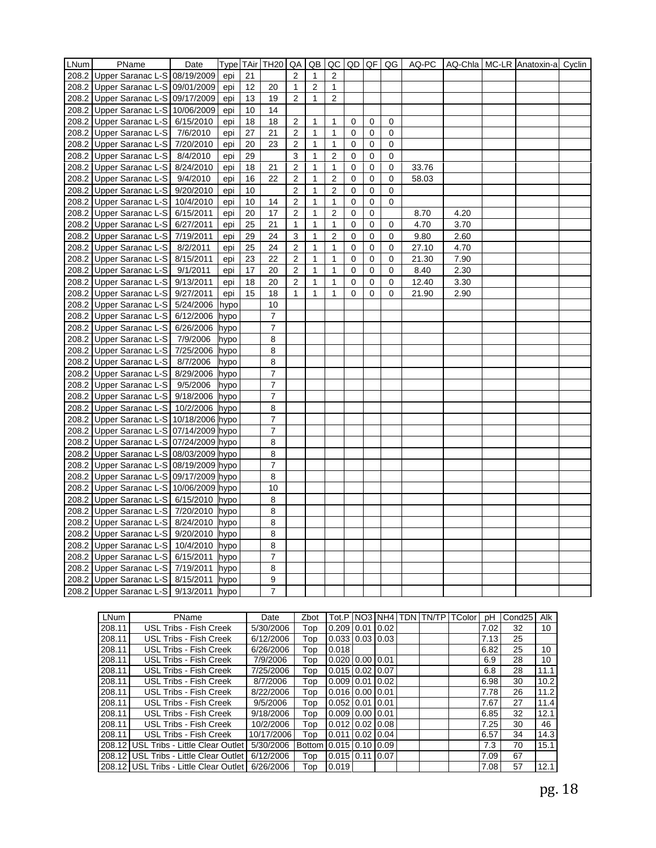| LNum | PName                                   | Date                  |      |    | Type TAir TH20 QA |                  | QB             | QC             | QD QF       |   | QG          | AQ-PC |      | AQ-Chla MC-LR Anatoxin-a Cyclin |  |
|------|-----------------------------------------|-----------------------|------|----|-------------------|------------------|----------------|----------------|-------------|---|-------------|-------|------|---------------------------------|--|
|      | 208.2 Upper Saranac L-S 08/19/2009      |                       | epi  | 21 |                   | 2                | $\mathbf{1}$   | $\overline{2}$ |             |   |             |       |      |                                 |  |
|      | 208.2 Upper Saranac L-S 09/01/2009      |                       | epi  | 12 | 20                | $\mathbf{1}$     | $\overline{2}$ | $\mathbf{1}$   |             |   |             |       |      |                                 |  |
|      | 208.2 Upper Saranac L-S 09/17/2009      |                       | epi  | 13 | 19                | $\overline{2}$   | $\mathbf{1}$   | 2              |             |   |             |       |      |                                 |  |
|      | 208.2 Upper Saranac L-S 10/06/2009      |                       | epi  | 10 | 14                |                  |                |                |             |   |             |       |      |                                 |  |
|      | 208.2 Upper Saranac L-S                 | 6/15/2010             | epi  | 18 | 18                | 2                | $\mathbf{1}$   | $\mathbf{1}$   | $\mathbf 0$ | 0 | $\mathbf 0$ |       |      |                                 |  |
|      | 208.2 Upper Saranac L-S                 | $\frac{1}{7}$ /6/2010 | epi  | 27 | 21                | 2                | $\mathbf{1}$   | 1              | 0           | 0 | 0           |       |      |                                 |  |
|      | 208.2 Upper Saranac L-S 7/20/2010       |                       | epi  | 20 | 23                | $\overline{2}$   | 1              | 1              | $\mathbf 0$ | 0 | 0           |       |      |                                 |  |
|      | 208.2 Upper Saranac L-S                 | 8/4/2010              | epi  | 29 |                   | 3                | 1              | $\overline{2}$ | $\mathbf 0$ | 0 | $\mathbf 0$ |       |      |                                 |  |
|      | 208.2 Upper Saranac L-S                 | 8/24/2010             | epi  | 18 | 21                | $\overline{2}$   | $\mathbf{1}$   | $\mathbf{1}$   | $\mathbf 0$ | 0 | $\mathbf 0$ | 33.76 |      |                                 |  |
|      | 208.2 Upper Saranac L-S                 | 9/4/2010              | epi  | 16 | 22                | $\overline{2}$   | $\mathbf{1}$   | 2              | $\mathbf 0$ | 0 | $\mathbf 0$ | 58.03 |      |                                 |  |
|      | 208.2 Upper Saranac L-S                 | 9/20/2010             | epi  | 10 |                   | $\overline{c}$   | $\mathbf{1}$   | $\overline{2}$ | 0           | 0 | 0           |       |      |                                 |  |
|      | 208.2 Upper Saranac L-S                 | 10/4/2010             | epi  | 10 | 14                | $\overline{2}$   | $\mathbf{1}$   | 1              | 0           | 0 | 0           |       |      |                                 |  |
|      | 208.2 Upper Saranac L-S                 | 6/15/2011             | epi  | 20 | 17                | 2                | 1              | $\overline{2}$ | 0           | 0 |             | 8.70  | 4.20 |                                 |  |
|      | 208.2 Upper Saranac L-S                 | 6/27/2011             | epi  | 25 | 21                | $\mathbf{1}$     | $\mathbf{1}$   | $\mathbf{1}$   | $\mathbf 0$ | 0 | 0           | 4.70  | 3.70 |                                 |  |
|      | 208.2 Upper Saranac L-S                 | 7/19/2011             | epi  | 29 | 24                | 3                | $\mathbf{1}$   | $\overline{2}$ | $\mathbf 0$ | 0 | $\mathbf 0$ | 9.80  | 2.60 |                                 |  |
|      | 208.2 Upper Saranac L-S                 | 8/2/2011              | epi  | 25 | 24                | $\boldsymbol{2}$ | 1              | $\mathbf{1}$   | 0           | 0 | 0           | 27.10 | 4.70 |                                 |  |
|      | 208.2 Upper Saranac L-S 8/15/2011       |                       | epi  | 23 | 22                | $\overline{c}$   | $\mathbf{1}$   | $\mathbf{1}$   | $\mathbf 0$ | 0 | $\mathbf 0$ | 21.30 | 7.90 |                                 |  |
|      | 208.2 Upper Saranac L-S                 | 9/1/2011              | epi  | 17 | 20                | $\overline{2}$   | $\mathbf{1}$   | $\mathbf{1}$   | 0           | 0 | $\mathbf 0$ | 8.40  | 2.30 |                                 |  |
|      | 208.2 Upper Saranac L-S                 | 9/13/2011             | epi  | 18 | 20                | 2                | $\mathbf{1}$   | 1              | 0           | 0 | 0           | 12.40 | 3.30 |                                 |  |
|      | 208.2 Upper Saranac L-S                 | 9/27/2011             | epi  | 15 | 18                | $\mathbf{1}$     | $\mathbf{1}$   | $\mathbf{1}$   | $\mathbf 0$ | 0 | $\mathbf 0$ | 21.90 | 2.90 |                                 |  |
|      | 208.2 Upper Saranac L-S 5/24/2006       |                       | hypo |    | 10                |                  |                |                |             |   |             |       |      |                                 |  |
|      | 208.2 Upper Saranac L-S 6/12/2006       |                       | hypo |    | $\overline{7}$    |                  |                |                |             |   |             |       |      |                                 |  |
|      | 208.2 Upper Saranac L-S                 | 6/26/2006             | hypo |    | $\overline{7}$    |                  |                |                |             |   |             |       |      |                                 |  |
|      | 208.2 Upper Saranac L-S                 | 7/9/2006              | hypo |    | 8                 |                  |                |                |             |   |             |       |      |                                 |  |
|      | 208.2 Upper Saranac L-S                 | 7/25/2006             | hypo |    | 8                 |                  |                |                |             |   |             |       |      |                                 |  |
|      | 208.2 Upper Saranac L-S                 | 8/7/2006              | hypo |    | 8                 |                  |                |                |             |   |             |       |      |                                 |  |
|      | 208.2 Upper Saranac L-S 8/29/2006       |                       | hypo |    | $\overline{7}$    |                  |                |                |             |   |             |       |      |                                 |  |
|      | 208.2 Upper Saranac L-S                 | 9/5/2006              | hypo |    | $\overline{7}$    |                  |                |                |             |   |             |       |      |                                 |  |
|      | 208.2 Upper Saranac L-S 9/18/2006       |                       | hypo |    | $\overline{7}$    |                  |                |                |             |   |             |       |      |                                 |  |
|      | 208.2 Upper Saranac L-S                 | 10/2/2006             | hypo |    | 8                 |                  |                |                |             |   |             |       |      |                                 |  |
|      | 208.2 Upper Saranac L-S 10/18/2006 hypo |                       |      |    | $\overline{7}$    |                  |                |                |             |   |             |       |      |                                 |  |
|      | 208.2 Upper Saranac L-S 07/14/2009 hypo |                       |      |    | $\overline{7}$    |                  |                |                |             |   |             |       |      |                                 |  |
|      | 208.2 Upper Saranac L-S 07/24/2009 hypo |                       |      |    | 8                 |                  |                |                |             |   |             |       |      |                                 |  |
|      | 208.2 Upper Saranac L-S 08/03/2009 hypo |                       |      |    | 8                 |                  |                |                |             |   |             |       |      |                                 |  |
|      | 208.2 Upper Saranac L-S 08/19/2009 hypo |                       |      |    | $\overline{7}$    |                  |                |                |             |   |             |       |      |                                 |  |
|      | 208.2 Upper Saranac L-S 09/17/2009 hypo |                       |      |    | 8                 |                  |                |                |             |   |             |       |      |                                 |  |
|      | 208.2 Upper Saranac L-S 10/06/2009 hypo |                       |      |    | 10                |                  |                |                |             |   |             |       |      |                                 |  |
|      | 208.2 Upper Saranac L-S 6/15/2010       |                       | hypo |    | 8                 |                  |                |                |             |   |             |       |      |                                 |  |
|      | 208.2 Upper Saranac L-S 7/20/2010       |                       | hypo |    | 8                 |                  |                |                |             |   |             |       |      |                                 |  |
|      | 208.2 Upper Saranac L-S 8/24/2010       |                       | hypo |    | 8                 |                  |                |                |             |   |             |       |      |                                 |  |
|      | 208.2 Upper Saranac L-S                 | 9/20/2010             | hypo |    | 8                 |                  |                |                |             |   |             |       |      |                                 |  |
|      | 208.2 Upper Saranac L-S                 | 10/4/2010             | hypo |    | 8                 |                  |                |                |             |   |             |       |      |                                 |  |
|      | 208.2 Upper Saranac L-S 6/15/2011       |                       | hypo |    | 7                 |                  |                |                |             |   |             |       |      |                                 |  |
|      | 208.2 Upper Saranac L-S                 | 7/19/2011             | hypo |    | 8                 |                  |                |                |             |   |             |       |      |                                 |  |
|      | 208.2 Upper Saranac L-S 8/15/2011       |                       | hypo |    | 9                 |                  |                |                |             |   |             |       |      |                                 |  |
|      | 208.2 Upper Saranac L-S 9/13/2011       |                       | hypo |    | $\overline{7}$    |                  |                |                |             |   |             |       |      |                                 |  |

| <b>LNum</b> | PName                                  | Date       | Zbot          | Tot.P NO3 NH4             |  | <b>TDN</b> | <b>TN/TP TColor</b> | pH   | Cond <sub>25</sub> | Alk  |
|-------------|----------------------------------------|------------|---------------|---------------------------|--|------------|---------------------|------|--------------------|------|
| 208.11      | USL Tribs - Fish Creek                 | 5/30/2006  | Top           | $0.209$   $0.01$   $0.02$ |  |            |                     | 7.02 | 32                 | 10   |
| 208.11      | USL Tribs - Fish Creek                 | 6/12/2006  | Top           | $0.033$   $0.03$   $0.03$ |  |            |                     | 7.13 | 25                 |      |
| 208.11      | USL Tribs - Fish Creek                 | 6/26/2006  | Top           | 0.018                     |  |            |                     | 6.82 | 25                 | 10   |
| 208.11      | USL Tribs - Fish Creek                 | 7/9/2006   | Top           | $0.020$ $0.00$ $0.01$     |  |            |                     | 6.9  | 28                 | 10   |
| 208.11      | USL Tribs - Fish Creek                 | 7/25/2006  | Top           | 0.01510.0210.07           |  |            |                     | 6.8  | 28                 | 11.1 |
| 208.11      | USL Tribs - Fish Creek                 | 8/7/2006   | Top           | $0.009$ 0.01 0.02         |  |            |                     | 6.98 | 30                 | 10.2 |
| 208.11      | USL Tribs - Fish Creek                 | 8/22/2006  | Top           | $0.016$   $0.00$   $0.01$ |  |            |                     | 7.78 | 26                 | 11.2 |
| 208.11      | <b>USL Tribs - Fish Creek</b>          | 9/5/2006   | Top           | $0.052$   0.01   0.01     |  |            |                     | 7.67 | 27                 | 11.4 |
| 208.11      | USL Tribs - Fish Creek                 | 9/18/2006  | Top           | $0.009$ $0.00$ $0.01$     |  |            |                     | 6.85 | 32                 | 12.1 |
| 208.11      | USL Tribs - Fish Creek                 | 10/2/2006  | Top           | $0.012$   $0.02$   $0.08$ |  |            |                     | 7.25 | 30                 | 46   |
| 208.11      | USL Tribs - Fish Creek                 | 10/17/2006 | Top           | $0.011$ $0.02$ $10.04$    |  |            |                     | 6.57 | 34                 | 14.3 |
| 208.12      | <b>USL Tribs - Little Clear Outlet</b> | 5/30/2006  | <b>Bottom</b> | $0.015$ $0.10$ $0.09$     |  |            |                     | 7.3  | 70                 | 15.1 |
| 208.12      | USL Tribs - Little Clear Outlet        | 6/12/2006  | Top           | $0.015$   0.11   0.07     |  |            |                     | 7.09 | 67                 |      |
| 208.12      | USL Tribs - Little Clear Outlet        | 6/26/2006  | Top           | 0.019                     |  |            |                     | 7.08 | 57                 | 12.1 |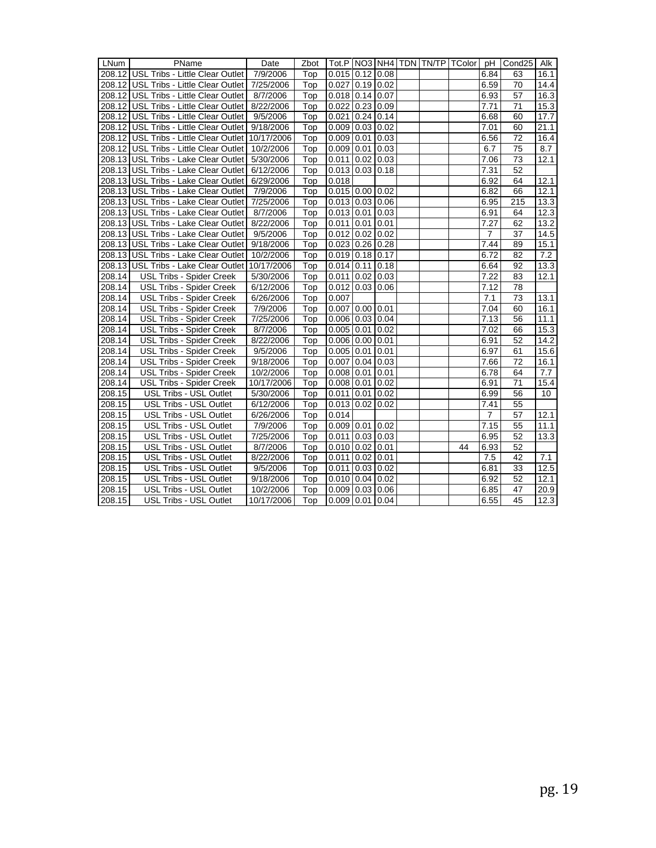| LNum   | PName                                              | Date       | Zbot |                       |                |  | Tot.P   NO3   NH4   TDN   TN/TP   TColor   pH |                | Cond <sub>25</sub> | Alk  |
|--------|----------------------------------------------------|------------|------|-----------------------|----------------|--|-----------------------------------------------|----------------|--------------------|------|
|        | 208.12 USL Tribs - Little Clear Outlet   7/9/2006  |            | Top  | $0.015$ 0.12 0.08     |                |  |                                               | 6.84           | 63                 | 16.1 |
|        | 208.12 USL Tribs - Little Clear Outlet   7/25/2006 |            | Top  | $0.027$ 0.19 0.02     |                |  |                                               | 6.59           | 70                 | 14.4 |
|        | 208.12 USL Tribs - Little Clear Outlet   8/7/2006  |            | Top  | $0.018$ 0.14 0.07     |                |  |                                               | 6.93           | 57                 | 16.3 |
|        | 208.12 USL Tribs - Little Clear Outlet   8/22/2006 |            | Top  | $0.022$ 0.23 0.09     |                |  |                                               | 7.71           | 71                 | 15.3 |
|        | 208.12 USL Tribs - Little Clear Outlet   9/5/2006  |            | Top  | $0.021$ 0.24 0.14     |                |  |                                               | 6.68           | 60                 | 17.7 |
|        | 208.12 USL Tribs - Little Clear Outlet   9/18/2006 |            | Top  | $0.009$ 0.03 0.02     |                |  |                                               | 7.01           | 60                 | 21.1 |
|        | 208.12 USL Tribs - Little Clear Outlet 10/17/2006  |            | Top  | $0.009$ 0.01 0.03     |                |  |                                               | 6.56           | $\overline{72}$    | 16.4 |
|        | 208.12 USL Tribs - Little Clear Outlet 10/2/2006   |            | Top  | $0.009$ 0.01 0.03     |                |  |                                               | 6.7            | 75                 | 8.7  |
|        | 208.13 USL Tribs - Lake Clear Outlet   5/30/2006   |            | Top  | $0.011$ 0.02 0.03     |                |  |                                               | 7.06           | 73                 | 12.1 |
|        | 208.13 USL Tribs - Lake Clear Outlet               | 6/12/2006  | Top  | $0.013$ 0.03 0.18     |                |  |                                               | 7.31           | 52                 |      |
|        | 208.13 USL Tribs - Lake Clear Outlet   6/29/2006   |            | Top  | 0.018                 |                |  |                                               | 6.92           | 64                 | 12.1 |
|        | 208.13 USL Tribs - Lake Clear Outlet   7/9/2006    |            | Top  | $0.015$ 0.00 0.02     |                |  |                                               | 6.82           | 66                 | 12.1 |
|        | 208.13 USL Tribs - Lake Clear Outlet 7/25/2006     |            | Top  | $0.013$ 0.03 0.06     |                |  |                                               | 6.95           | 215                | 13.3 |
|        | 208.13 USL Tribs - Lake Clear Outlet   8/7/2006    |            | Top  | $0.013$ 0.01 0.03     |                |  |                                               | 6.91           | 64                 | 12.3 |
|        | 208.13 USL Tribs - Lake Clear Outlet   8/22/2006   |            | Top  | $0.011$ 0.01 0.01     |                |  |                                               | 7.27           | 62                 | 13.2 |
|        | 208.13 USL Tribs - Lake Clear Outlet   9/5/2006    |            | Top  | $0.012$ 0.02 0.02     |                |  |                                               | $\overline{7}$ | 37                 | 14.5 |
|        | 208.13 USL Tribs - Lake Clear Outlet 9/18/2006     |            | Top  | $0.023$ 0.26 0.28     |                |  |                                               | 7.44           | 89                 | 15.1 |
|        | 208.13 USL Tribs - Lake Clear Outlet 10/2/2006     |            | Top  | $0.019$ 0.18 0.17     |                |  |                                               | 6.72           | 82                 | 7.2  |
|        | 208.13 USL Tribs - Lake Clear Outlet 10/17/2006    |            | Top  | $0.014$ 0.11 0.18     |                |  |                                               | 6.64           | 92                 | 13.3 |
| 208.14 | <b>USL Tribs - Spider Creek</b>                    | 5/30/2006  | Top  | $0.011$ 0.02 0.03     |                |  |                                               | 7.22           | 83                 | 12.1 |
| 208.14 | <b>USL Tribs - Spider Creek</b>                    | 6/12/2006  | Top  | $0.012$ $0.03$ $0.06$ |                |  |                                               | 7.12           | 78                 |      |
| 208.14 | <b>USL Tribs - Spider Creek</b>                    | 6/26/2006  | Top  | 0.007                 |                |  |                                               | 7.1            | 73                 | 13.1 |
| 208.14 | <b>USL Tribs - Spider Creek</b>                    | 7/9/2006   | Top  | $0.007$ 0.00 0.01     |                |  |                                               | 7.04           | 60                 | 16.1 |
| 208.14 | USL Tribs - Spider Creek                           | 7/25/2006  | Top  | $0.006$ 0.03 0.04     |                |  |                                               | 7.13           | 56                 | 11.1 |
| 208.14 | <b>USL Tribs - Spider Creek</b>                    | 8/7/2006   | Top  | $0.005$ 0.01 0.02     |                |  |                                               | 7.02           | 66                 | 15.3 |
| 208.14 | USL Tribs - Spider Creek                           | 8/22/2006  | Top  | $0.006$ 0.00 0.01     |                |  |                                               | 6.91           | 52                 | 14.2 |
| 208.14 | <b>USL Tribs - Spider Creek</b>                    | 9/5/2006   | Top  | $0.005$ 0.01 0.01     |                |  |                                               | 6.97           | 61                 | 15.6 |
| 208.14 | USL Tribs - Spider Creek                           | 9/18/2006  | Top  | $0.007$ 0.04 0.03     |                |  |                                               | 7.66           | 72                 | 16.1 |
| 208.14 | <b>USL Tribs - Spider Creek</b>                    | 10/2/2006  | Top  | $0.008$ 0.01 0.01     |                |  |                                               | 6.78           | 64                 | 7.7  |
| 208.14 | USL Tribs - Spider Creek                           | 10/17/2006 | Top  | $0.008$ 0.01 0.02     |                |  |                                               | 6.91           | 71                 | 15.4 |
| 208.15 | USL Tribs - USL Outlet                             | 5/30/2006  | Top  | $0.011$ 0.01 0.02     |                |  |                                               | 6.99           | 56                 | 10   |
| 208.15 | USL Tribs - USL Outlet                             | 6/12/2006  | Top  | $0.013$ 0.02 0.02     |                |  |                                               | 7.41           | 55                 |      |
| 208.15 | USL Tribs - USL Outlet                             | 6/26/2006  | Top  | 0.014                 |                |  |                                               | $\overline{7}$ | 57                 | 12.1 |
| 208.15 | USL Tribs - USL Outlet                             | 7/9/2006   | Top  | $0.009$ 0.01 0.02     |                |  |                                               | 7.15           | 55                 | 11.1 |
| 208.15 | USL Tribs - USL Outlet                             | 7/25/2006  | Top  | $0.011$ 0.03 0.03     |                |  |                                               | 6.95           | 52                 | 13.3 |
| 208.15 | USL Tribs - USL Outlet                             | 8/7/2006   | Top  | $0.010$ 0.02 0.01     |                |  | 44                                            | 6.93           | 52                 |      |
| 208.15 | USL Tribs - USL Outlet                             | 8/22/2006  | Top  | $0.011$ 0.02 0.01     |                |  |                                               | 7.5            | 42                 | 7.1  |
| 208.15 | <b>USL Tribs - USL Outlet</b>                      | 9/5/2006   | Top  | 0.011                 | $0.03 \, 0.02$ |  |                                               | 6.81           | 33                 | 12.5 |
| 208.15 | USL Tribs - USL Outlet                             | 9/18/2006  | Top  | $0.010$ 0.04 0.02     |                |  |                                               | 6.92           | 52                 | 12.1 |
| 208.15 | USL Tribs - USL Outlet                             | 10/2/2006  | Top  | $0.009$ 0.03 0.06     |                |  |                                               | 6.85           | 47                 | 20.9 |
| 208.15 | USL Tribs - USL Outlet                             | 10/17/2006 | Top  | $0.009$ 0.01 0.04     |                |  |                                               | 6.55           | 45                 | 12.3 |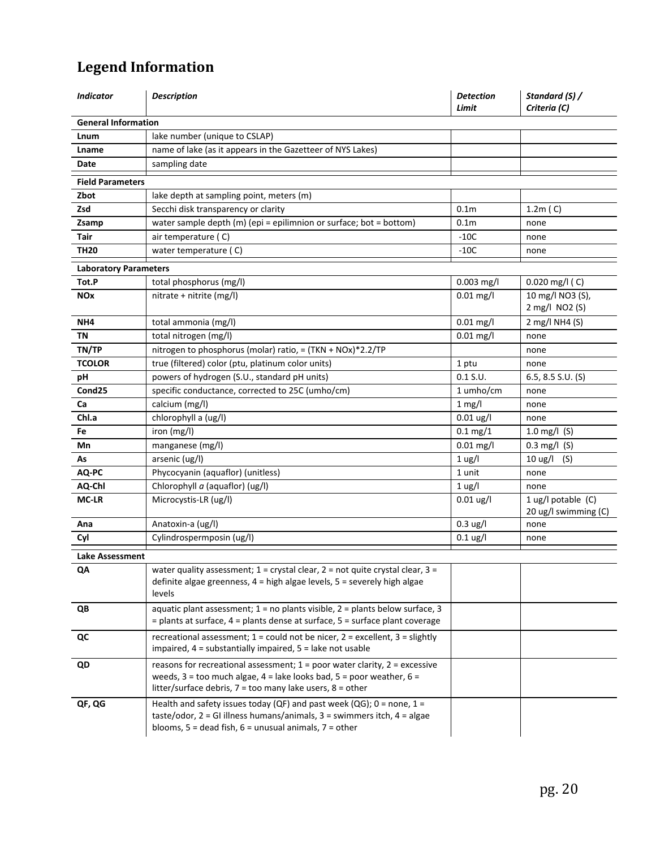# **Legend Information**

| <b>Indicator</b>             | <b>Description</b>                                                                                                                                                                                                                          | <b>Detection</b><br>Limit | Standard (S) /<br>Criteria (C)               |
|------------------------------|---------------------------------------------------------------------------------------------------------------------------------------------------------------------------------------------------------------------------------------------|---------------------------|----------------------------------------------|
| <b>General Information</b>   |                                                                                                                                                                                                                                             |                           |                                              |
| Lnum                         | lake number (unique to CSLAP)                                                                                                                                                                                                               |                           |                                              |
| Lname                        | name of lake (as it appears in the Gazetteer of NYS Lakes)                                                                                                                                                                                  |                           |                                              |
| Date                         | sampling date                                                                                                                                                                                                                               |                           |                                              |
| <b>Field Parameters</b>      |                                                                                                                                                                                                                                             |                           |                                              |
| Zbot                         | lake depth at sampling point, meters (m)                                                                                                                                                                                                    |                           |                                              |
| Zsd                          | Secchi disk transparency or clarity                                                                                                                                                                                                         | 0.1 <sub>m</sub>          | 1.2m(C)                                      |
| Zsamp                        | water sample depth (m) (epi = epilimnion or surface; bot = bottom)                                                                                                                                                                          | 0.1 <sub>m</sub>          | none                                         |
| Tair                         | air temperature (C)                                                                                                                                                                                                                         | $-10C$                    | none                                         |
| <b>TH20</b>                  | water temperature (C)                                                                                                                                                                                                                       | $-10C$                    | none                                         |
| <b>Laboratory Parameters</b> |                                                                                                                                                                                                                                             |                           |                                              |
| Tot.P                        | total phosphorus (mg/l)                                                                                                                                                                                                                     | $0.003$ mg/l              | $0.020$ mg/l (C)                             |
| <b>NOx</b>                   | nitrate + nitrite (mg/l)                                                                                                                                                                                                                    | $0.01$ mg/l               | 10 mg/l NO3 (S),                             |
|                              |                                                                                                                                                                                                                                             |                           | 2 mg/l NO2 (S)                               |
| NH4                          | total ammonia (mg/l)                                                                                                                                                                                                                        | $0.01$ mg/l               | 2 mg/l NH4 (S)                               |
| <b>TN</b>                    | total nitrogen (mg/l)                                                                                                                                                                                                                       | $0.01$ mg/l               | none                                         |
| TN/TP                        | nitrogen to phosphorus (molar) ratio, = (TKN + NOx)*2.2/TP                                                                                                                                                                                  |                           | none                                         |
| <b>TCOLOR</b>                | true (filtered) color (ptu, platinum color units)                                                                                                                                                                                           | 1 ptu                     | none                                         |
| рH                           | powers of hydrogen (S.U., standard pH units)                                                                                                                                                                                                | $0.1$ S.U.                | $6.5, 8.5$ S.U. (S)                          |
| Cond <sub>25</sub>           | specific conductance, corrected to 25C (umho/cm)                                                                                                                                                                                            | 1 umho/cm                 | none                                         |
| Ca                           | calcium (mg/l)                                                                                                                                                                                                                              | $1$ mg/l                  | none                                         |
| Chl.a                        | chlorophyll a (ug/l)                                                                                                                                                                                                                        | $0.01$ ug/l               | none                                         |
| Fe                           | iron (mg/l)                                                                                                                                                                                                                                 | $0.1 \,\mathrm{mg}/1$     | 1.0 mg/l $(S)$                               |
| Mn                           | manganese (mg/l)                                                                                                                                                                                                                            | $0.01$ mg/l               | $0.3 \text{ mg/l}$ (S)                       |
| As                           | arsenic (ug/l)                                                                                                                                                                                                                              | $1$ ug/l                  | $10 \text{ ug/l}$<br>(S)                     |
| AQ-PC                        | Phycocyanin (aquaflor) (unitless)                                                                                                                                                                                                           | 1 unit                    | none                                         |
| AQ-Chl                       | Chlorophyll $a$ (aquaflor) (ug/l)                                                                                                                                                                                                           | 1 <sub>ug</sub> /I        | none                                         |
| <b>MC-LR</b>                 | Microcystis-LR (ug/l)                                                                                                                                                                                                                       | $0.01$ ug/l               | 1 ug/l potable $(C)$<br>20 ug/l swimming (C) |
| Ana                          | Anatoxin-a (ug/l)                                                                                                                                                                                                                           | $0.3 \text{ ug/l}$        | none                                         |
| Cyl                          | Cylindrospermposin (ug/l)                                                                                                                                                                                                                   | $0.1$ ug/l                | none                                         |
| Lake Assessment              |                                                                                                                                                                                                                                             |                           |                                              |
| QA                           | water quality assessment; $1 =$ crystal clear, $2 =$ not quite crystal clear, $3 =$<br>definite algae greenness, 4 = high algae levels, 5 = severely high algae<br>levels                                                                   |                           |                                              |
| QB                           | aquatic plant assessment; $1 = no$ plants visible, $2 =$ plants below surface, 3<br>= plants at surface, 4 = plants dense at surface, 5 = surface plant coverage                                                                            |                           |                                              |
| QC                           | recreational assessment; $1 = \text{could not be nicer}, 2 = \text{excellent}, 3 = \text{slightly}$<br>impaired, $4 =$ substantially impaired, $5 =$ lake not usable                                                                        |                           |                                              |
| QD                           | reasons for recreational assessment; $1 = poor$ water clarity, $2 = excessive$<br>weeds, $3 =$ too much algae, $4 =$ lake looks bad, $5 =$ poor weather, $6 =$<br>litter/surface debris, $7 = \text{too many lake users}, 8 = \text{other}$ |                           |                                              |
| QF, QG                       | Health and safety issues today (QF) and past week (QG); $0 =$ none, $1 =$<br>taste/odor, $2 = G1$ illness humans/animals, $3 =$ swimmers itch, $4 =$ algae<br>blooms, $5 =$ dead fish, $6 =$ unusual animals, $7 =$ other                   |                           |                                              |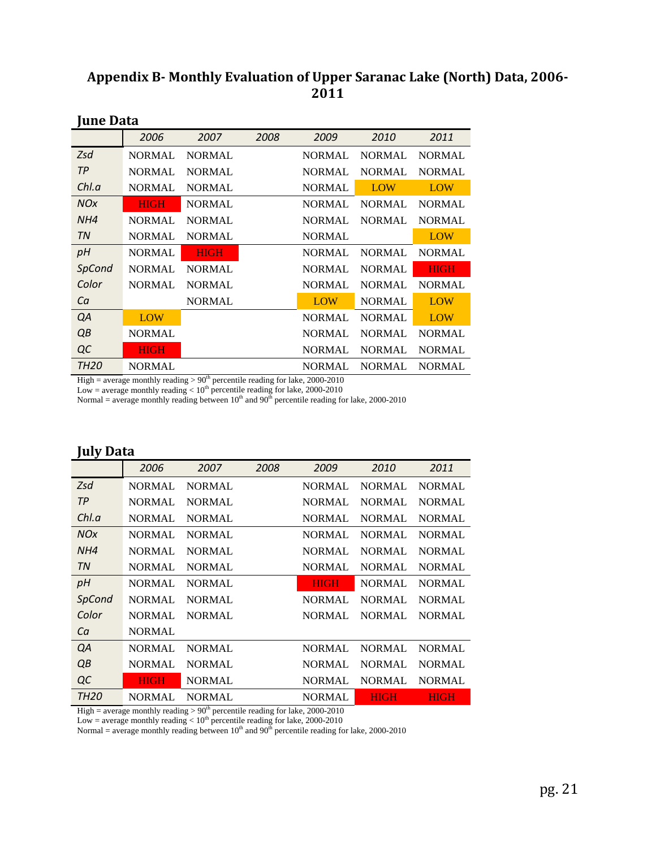## **Appendix B Monthly Evaluation of Upper Saranac Lake (North) Data, 2006 2011**

| JUNU DUW              |               |               |      |               |               |               |
|-----------------------|---------------|---------------|------|---------------|---------------|---------------|
|                       | 2006          | 2007          | 2008 | 2009          | 2010          | 2011          |
| Zsd                   | <b>NORMAL</b> | <b>NORMAL</b> |      | <b>NORMAL</b> | <b>NORMAL</b> | <b>NORMAL</b> |
| <b>TP</b>             | <b>NORMAL</b> | <b>NORMAL</b> |      | <b>NORMAL</b> | <b>NORMAL</b> | <b>NORMAL</b> |
| Chl.a                 | <b>NORMAL</b> | <b>NORMAL</b> |      | <b>NORMAL</b> | <b>LOW</b>    | <b>LOW</b>    |
| <b>NO<sub>X</sub></b> | <b>HIGH</b>   | <b>NORMAL</b> |      | <b>NORMAL</b> | <b>NORMAL</b> | <b>NORMAL</b> |
| NH4                   | <b>NORMAL</b> | <b>NORMAL</b> |      | <b>NORMAL</b> | <b>NORMAL</b> | <b>NORMAL</b> |
| TN                    | <b>NORMAL</b> | <b>NORMAL</b> |      | <b>NORMAL</b> |               | <b>LOW</b>    |
| pH                    | <b>NORMAL</b> | <b>HIGH</b>   |      | <b>NORMAL</b> | <b>NORMAL</b> | <b>NORMAL</b> |
| SpCond                | <b>NORMAL</b> | <b>NORMAL</b> |      | <b>NORMAL</b> | <b>NORMAL</b> | <b>HIGH</b>   |
| Color                 | <b>NORMAL</b> | <b>NORMAL</b> |      | <b>NORMAL</b> | <b>NORMAL</b> | <b>NORMAL</b> |
| Ca                    |               | <b>NORMAL</b> |      | <b>LOW</b>    | <b>NORMAL</b> | <b>LOW</b>    |
| QA                    | LOW           |               |      | <b>NORMAL</b> | <b>NORMAL</b> | <b>LOW</b>    |
| QB                    | <b>NORMAL</b> |               |      | <b>NORMAL</b> | <b>NORMAL</b> | <b>NORMAL</b> |
| QC                    | HIGH          |               |      | <b>NORMAL</b> | <b>NORMAL</b> | <b>NORMAL</b> |
| <b>TH20</b>           | <b>NORMAL</b> |               |      | <b>NORMAL</b> | <b>NORMAL</b> | <b>NORMAL</b> |

### **June Data**

High = average monthly reading  $> 90<sup>th</sup>$  percentile reading for lake, 2000-2010

Low = average monthly reading  $< 10^{th}$  percentile reading for lake, 2000-2010

Normal = average monthly reading between  $10<sup>th</sup>$  and  $90<sup>th</sup>$  percentile reading for lake, 2000-2010

## **July Data**

|                       | 2006          | 2007          | 2008 | 2009          | 2010          | 2011          |
|-----------------------|---------------|---------------|------|---------------|---------------|---------------|
| Zsd                   | <b>NORMAL</b> | <b>NORMAL</b> |      | <b>NORMAL</b> | <b>NORMAL</b> | <b>NORMAL</b> |
| <b>TP</b>             | <b>NORMAL</b> | <b>NORMAL</b> |      | <b>NORMAL</b> | <b>NORMAL</b> | <b>NORMAL</b> |
| Chl.a                 | <b>NORMAL</b> | <b>NORMAL</b> |      | <b>NORMAL</b> | <b>NORMAL</b> | <b>NORMAL</b> |
| <b>NO<sub>X</sub></b> | <b>NORMAL</b> | <b>NORMAL</b> |      | <b>NORMAL</b> | <b>NORMAL</b> | <b>NORMAL</b> |
| NH4                   | <b>NORMAL</b> | <b>NORMAL</b> |      | <b>NORMAL</b> | <b>NORMAL</b> | <b>NORMAL</b> |
| <b>TN</b>             | <b>NORMAL</b> | <b>NORMAL</b> |      | <b>NORMAL</b> | <b>NORMAL</b> | <b>NORMAL</b> |
| pH                    | <b>NORMAL</b> | <b>NORMAL</b> |      | <b>HIGH</b>   | <b>NORMAL</b> | <b>NORMAL</b> |
| SpCond                | <b>NORMAL</b> | <b>NORMAL</b> |      | <b>NORMAL</b> | <b>NORMAL</b> | <b>NORMAL</b> |
| Color                 | <b>NORMAL</b> | <b>NORMAL</b> |      | <b>NORMAL</b> | <b>NORMAL</b> | <b>NORMAL</b> |
| Ca                    | <b>NORMAL</b> |               |      |               |               |               |
| QA                    | <b>NORMAL</b> | <b>NORMAL</b> |      | NORMAL.       | <b>NORMAL</b> | <b>NORMAL</b> |
| QB                    | <b>NORMAL</b> | <b>NORMAL</b> |      | <b>NORMAL</b> | <b>NORMAL</b> | <b>NORMAL</b> |
| QC                    | <b>HIGH</b>   | <b>NORMAL</b> |      | <b>NORMAL</b> | NORMAL        | <b>NORMAL</b> |
| <b>TH20</b>           | <b>NORMAL</b> | <b>NORMAL</b> |      | <b>NORMAL</b> | <b>HIGH</b>   | <b>HIGH</b>   |

High = average monthly reading  $> 90<sup>th</sup>$  percentile reading for lake, 2000-2010

Low = average monthly reading  $< 10<sup>th</sup>$  percentile reading for lake, 2000-2010

Normal = average monthly reading between  $10^{th}$  and  $90^{th}$  percentile reading for lake, 2000-2010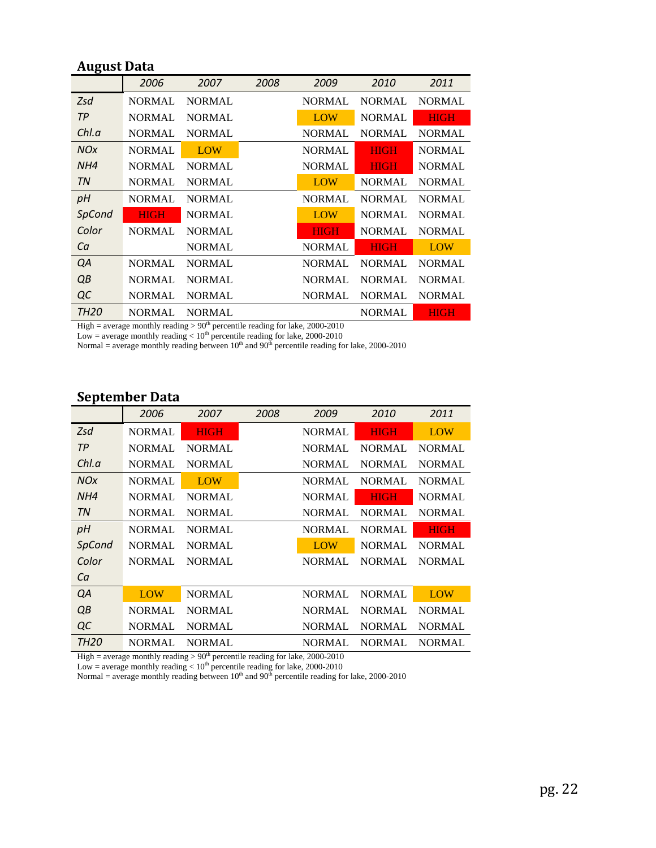## **August Data**

|                  | 2006          | 2007          | 2008 | 2009          | 2010          | 2011          |
|------------------|---------------|---------------|------|---------------|---------------|---------------|
| Zsd              | <b>NORMAL</b> | <b>NORMAL</b> |      | <b>NORMAL</b> | <b>NORMAL</b> | <b>NORMAL</b> |
| TP               | <b>NORMAL</b> | <b>NORMAL</b> |      | LOW           | <b>NORMAL</b> | <b>HIGH</b>   |
| ChLa             | <b>NORMAL</b> | <b>NORMAL</b> |      | <b>NORMAL</b> | <b>NORMAL</b> | <b>NORMAL</b> |
| <b>NOx</b>       | <b>NORMAL</b> | LOW           |      | <b>NORMAL</b> | <b>HIGH</b>   | <b>NORMAL</b> |
| NH4              | <b>NORMAL</b> | <b>NORMAL</b> |      | <b>NORMAL</b> | <b>HIGH</b>   | <b>NORMAL</b> |
| TN               | <b>NORMAL</b> | <b>NORMAL</b> |      | <b>LOW</b>    | <b>NORMAL</b> | <b>NORMAL</b> |
| pH               | <b>NORMAL</b> | <b>NORMAL</b> |      | <b>NORMAL</b> | <b>NORMAL</b> | <b>NORMAL</b> |
| SpCond           | <b>HIGH</b>   | <b>NORMAL</b> |      | <b>LOW</b>    | <b>NORMAL</b> | <b>NORMAL</b> |
| Color            | <b>NORMAL</b> | <b>NORMAL</b> |      | <b>HIGH</b>   | <b>NORMAL</b> | <b>NORMAL</b> |
| Ca               |               | <b>NORMAL</b> |      | <b>NORMAL</b> | <b>HIGH</b>   | LOW           |
| QA               | <b>NORMAL</b> | <b>NORMAL</b> |      | <b>NORMAL</b> | <b>NORMAL</b> | <b>NORMAL</b> |
| QB               | <b>NORMAL</b> | <b>NORMAL</b> |      | <b>NORMAL</b> | <b>NORMAL</b> | <b>NORMAL</b> |
| QC               | <b>NORMAL</b> | <b>NORMAL</b> |      | <b>NORMAL</b> | <b>NORMAL</b> | <b>NORMAL</b> |
| TH <sub>20</sub> | NORMAL        | <b>NORMAL</b> |      |               | <b>NORMAL</b> | <b>HIGH</b>   |

High = average monthly reading  $> 90<sup>th</sup>$  percentile reading for lake, 2000-2010

Low = average monthly reading  $< 10^{\text{th}}$  percentile reading for lake, 2000-2010

Normal = average monthly reading between  $10^{th}$  and  $90^{th}$  percentile reading for lake, 2000-2010

## **September Data**

|                       | 2006          | 2007          | 2008 | 2009          | 2010          | 2011          |
|-----------------------|---------------|---------------|------|---------------|---------------|---------------|
| Zsd                   | NORMAL        | <b>HIGH</b>   |      | <b>NORMAL</b> | <b>HIGH</b>   | LOW           |
| <b>TP</b>             | NORMAL        | <b>NORMAL</b> |      | <b>NORMAL</b> | <b>NORMAL</b> | <b>NORMAL</b> |
| Chl.a                 | <b>NORMAL</b> | <b>NORMAL</b> |      | <b>NORMAL</b> | <b>NORMAL</b> | <b>NORMAL</b> |
| <b>NO<sub>X</sub></b> | <b>NORMAL</b> | LOW           |      | <b>NORMAL</b> | <b>NORMAL</b> | <b>NORMAL</b> |
| NH4                   | <b>NORMAL</b> | <b>NORMAL</b> |      | <b>NORMAL</b> | <b>HIGH</b>   | <b>NORMAL</b> |
| TN                    | NORMAL        | <b>NORMAL</b> |      | <b>NORMAL</b> | <b>NORMAL</b> | <b>NORMAL</b> |
| pH                    | <b>NORMAL</b> | <b>NORMAL</b> |      | <b>NORMAL</b> | <b>NORMAL</b> | <b>HIGH</b>   |
| SpCond                | NORMAL        | <b>NORMAL</b> |      | <b>LOW</b>    | <b>NORMAL</b> | <b>NORMAL</b> |
| Color                 | <b>NORMAL</b> | <b>NORMAL</b> |      | <b>NORMAL</b> | <b>NORMAL</b> | <b>NORMAL</b> |
| Ca                    |               |               |      |               |               |               |
| QA                    | LOW           | <b>NORMAL</b> |      | <b>NORMAL</b> | <b>NORMAL</b> | <b>LOW</b>    |
| QB                    | <b>NORMAL</b> | <b>NORMAL</b> |      | <b>NORMAL</b> | <b>NORMAL</b> | <b>NORMAL</b> |
| QC                    | <b>NORMAL</b> | <b>NORMAL</b> |      | <b>NORMAL</b> | <b>NORMAL</b> | <b>NORMAL</b> |
| TH <sub>20</sub>      | NORMAL        | <b>NORMAL</b> |      | <b>NORMAL</b> | <b>NORMAL</b> | <b>NORMAL</b> |

High = average monthly reading  $> 90<sup>th</sup>$  percentile reading for lake, 2000-2010

Low = average monthly reading  $< 10<sup>th</sup>$  percentile reading for lake, 2000-2010

Normal = average monthly reading between  $10<sup>th</sup>$  and  $90<sup>th</sup>$  percentile reading for lake, 2000-2010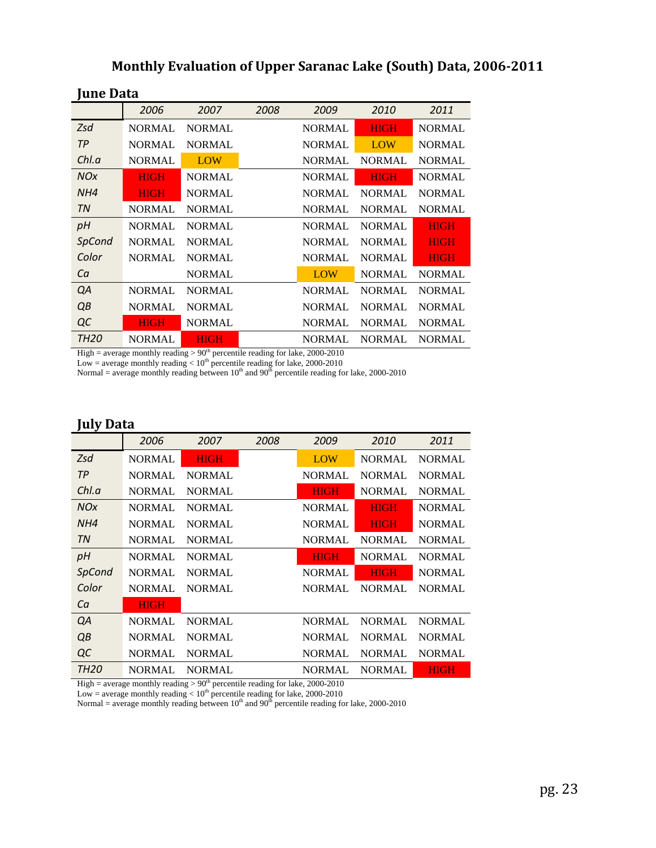## **Monthly Evaluation of Upper Saranac Lake (South) Data, 20062011**

| Tuno Rum              |               |               |      |               |               |               |
|-----------------------|---------------|---------------|------|---------------|---------------|---------------|
|                       | 2006          | 2007          | 2008 | 2009          | 2010          | 2011          |
| Zsd                   | <b>NORMAL</b> | <b>NORMAL</b> |      | <b>NORMAL</b> | <b>HIGH</b>   | <b>NORMAL</b> |
| TP                    | <b>NORMAL</b> | <b>NORMAL</b> |      | <b>NORMAL</b> | <b>LOW</b>    | <b>NORMAL</b> |
| Chl.a                 | <b>NORMAL</b> | LOW           |      | <b>NORMAL</b> | <b>NORMAL</b> | <b>NORMAL</b> |
| <b>NO<sub>X</sub></b> | <b>HIGH</b>   | <b>NORMAL</b> |      | <b>NORMAL</b> | <b>HIGH</b>   | <b>NORMAL</b> |
| NH4                   | <b>HIGH</b>   | <b>NORMAL</b> |      | <b>NORMAL</b> | <b>NORMAL</b> | <b>NORMAL</b> |
| TN                    | <b>NORMAL</b> | <b>NORMAL</b> |      | <b>NORMAL</b> | <b>NORMAL</b> | <b>NORMAL</b> |
| рH                    | <b>NORMAL</b> | <b>NORMAL</b> |      | <b>NORMAL</b> | <b>NORMAL</b> | <b>HIGH</b>   |
| SpCond                | <b>NORMAL</b> | <b>NORMAL</b> |      |               | <b>NORMAL</b> | <b>HIGH</b>   |
| Color                 | <b>NORMAL</b> | <b>NORMAL</b> |      | <b>NORMAL</b> | <b>NORMAL</b> | <b>HIGH</b>   |
| Ca                    |               | <b>NORMAL</b> |      | <b>LOW</b>    | <b>NORMAL</b> | <b>NORMAL</b> |
| QA                    | <b>NORMAL</b> | <b>NORMAL</b> |      | <b>NORMAL</b> | <b>NORMAL</b> | <b>NORMAL</b> |
| QB                    | <b>NORMAL</b> | <b>NORMAL</b> |      | <b>NORMAL</b> | <b>NORMAL</b> | <b>NORMAL</b> |
| QC                    | HIGH          | <b>NORMAL</b> |      | <b>NORMAL</b> | <b>NORMAL</b> | <b>NORMAL</b> |
| <b>TH20</b>           | <b>NORMAL</b> | <b>HIGH</b>   |      | <b>NORMAL</b> | <b>NORMAL</b> | <b>NORMAL</b> |

## **June Data**

High = average monthly reading  $> 90<sup>th</sup>$  percentile reading for lake, 2000-2010

Low = average monthly reading  $< 10<sup>th</sup>$  percentile reading for lake, 2000-2010

Normal = average monthly reading between  $10^{th}$  and  $90^{th}$  percentile reading for lake, 2000-2010

## **July Data**

|             | 2006          | 2007          | 2008 | 2009          | 2010          | 2011          |
|-------------|---------------|---------------|------|---------------|---------------|---------------|
| Zsd         | <b>NORMAL</b> | <b>HIGH</b>   |      | LOW           | <b>NORMAL</b> | <b>NORMAL</b> |
| <b>TP</b>   | <b>NORMAL</b> | <b>NORMAL</b> |      | <b>NORMAL</b> | <b>NORMAL</b> | <b>NORMAL</b> |
| Chl.a       | <b>NORMAL</b> | <b>NORMAL</b> |      | HIGH          | <b>NORMAL</b> | <b>NORMAL</b> |
| <b>NOx</b>  | <b>NORMAL</b> | <b>NORMAL</b> |      | <b>NORMAL</b> | <b>HIGH</b>   | <b>NORMAL</b> |
| NH4         | <b>NORMAL</b> | <b>NORMAL</b> |      | <b>NORMAL</b> | <b>HIGH</b>   | <b>NORMAL</b> |
| TN          | <b>NORMAL</b> | <b>NORMAL</b> |      | <b>NORMAL</b> | <b>NORMAL</b> | <b>NORMAL</b> |
| рH          | <b>NORMAL</b> | <b>NORMAL</b> |      | <b>HIGH</b>   | <b>NORMAL</b> | <b>NORMAL</b> |
| SpCond      | <b>NORMAL</b> | <b>NORMAL</b> |      | <b>NORMAL</b> | <b>HIGH</b>   | <b>NORMAL</b> |
| Color       | <b>NORMAL</b> | <b>NORMAL</b> |      | <b>NORMAL</b> | <b>NORMAL</b> | <b>NORMAL</b> |
| Ca          | <b>HIGH</b>   |               |      |               |               |               |
| QA          | <b>NORMAL</b> | <b>NORMAL</b> |      | <b>NORMAL</b> | <b>NORMAL</b> | <b>NORMAL</b> |
| QB          | <b>NORMAL</b> | <b>NORMAL</b> |      | <b>NORMAL</b> | <b>NORMAL</b> | <b>NORMAL</b> |
| QC          | <b>NORMAL</b> | <b>NORMAL</b> |      | <b>NORMAL</b> | <b>NORMAL</b> | <b>NORMAL</b> |
| <b>TH20</b> | <b>NORMAL</b> | <b>NORMAL</b> |      | <b>NORMAL</b> | NORMAL        | <b>HIGH</b>   |

High = average monthly reading  $> 90<sup>th</sup>$  percentile reading for lake, 2000-2010

Low = average monthly reading  $< 10^{th}$  percentile reading for lake, 2000-2010

Normal = average monthly reading between  $10<sup>th</sup>$  and  $90<sup>th</sup>$  percentile reading for lake, 2000-2010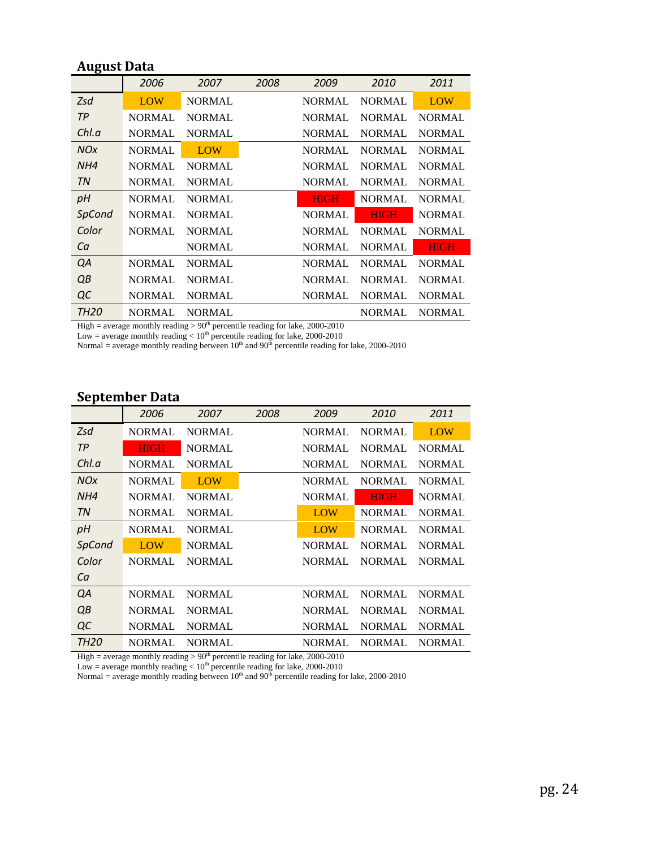## **August Data**

|                  | 2006          | 2007          | 2008 | 2009          | 2010          | 2011          |
|------------------|---------------|---------------|------|---------------|---------------|---------------|
| Zsd              | LOW           | <b>NORMAL</b> |      | <b>NORMAL</b> | <b>NORMAL</b> | LOW           |
| <b>TP</b>        | <b>NORMAL</b> | <b>NORMAL</b> |      | <b>NORMAL</b> | <b>NORMAL</b> | <b>NORMAL</b> |
| ChLa             | <b>NORMAL</b> | <b>NORMAL</b> |      | <b>NORMAL</b> | <b>NORMAL</b> | <b>NORMAL</b> |
| <b>NOx</b>       | <b>NORMAL</b> | LOW           |      | <b>NORMAL</b> | <b>NORMAL</b> | <b>NORMAL</b> |
| NH4              | <b>NORMAL</b> | <b>NORMAL</b> |      | <b>NORMAL</b> | <b>NORMAL</b> | <b>NORMAL</b> |
| <b>TN</b>        | <b>NORMAL</b> | <b>NORMAL</b> |      | <b>NORMAL</b> | <b>NORMAL</b> | <b>NORMAL</b> |
| pH               | <b>NORMAL</b> | <b>NORMAL</b> |      | <b>HIGH</b>   | <b>NORMAL</b> | <b>NORMAL</b> |
| SpCond           | <b>NORMAL</b> | <b>NORMAL</b> |      | <b>NORMAL</b> | <b>HIGH</b>   | <b>NORMAL</b> |
| Color            | <b>NORMAL</b> | <b>NORMAL</b> |      | <b>NORMAL</b> | <b>NORMAL</b> | <b>NORMAL</b> |
| Ca               |               | <b>NORMAL</b> |      | <b>NORMAL</b> | <b>NORMAL</b> | <b>HIGH</b>   |
| QA               | <b>NORMAL</b> | <b>NORMAL</b> |      | <b>NORMAL</b> | <b>NORMAL</b> | <b>NORMAL</b> |
| QB               | <b>NORMAL</b> | <b>NORMAL</b> |      | <b>NORMAL</b> | <b>NORMAL</b> | <b>NORMAL</b> |
| QC               | <b>NORMAL</b> | <b>NORMAL</b> |      | <b>NORMAL</b> | <b>NORMAL</b> | <b>NORMAL</b> |
| TH <sub>20</sub> | <b>NORMAL</b> | <b>NORMAL</b> |      |               | <b>NORMAL</b> | <b>NORMAL</b> |

High = average monthly reading  $> 90<sup>th</sup>$  percentile reading for lake, 2000-2010

Low = average monthly reading  $< 10^{\text{th}}$  percentile reading for lake, 2000-2010

Normal = average monthly reading between  $10^{th}$  and  $90^{th}$  percentile reading for lake, 2000-2010

## **September Data**

|                       | 2006          | 2007          | 2008 | 2009          | 2010          | 2011          |
|-----------------------|---------------|---------------|------|---------------|---------------|---------------|
| Zsd                   | NORMAL        | <b>NORMAL</b> |      | <b>NORMAL</b> | <b>NORMAL</b> | LOW           |
| <b>TP</b>             | HIGH          | <b>NORMAL</b> |      | <b>NORMAL</b> | <b>NORMAL</b> | <b>NORMAL</b> |
| Chl.a                 | <b>NORMAL</b> | <b>NORMAL</b> |      | <b>NORMAL</b> | <b>NORMAL</b> | <b>NORMAL</b> |
| <b>NO<sub>X</sub></b> | <b>NORMAL</b> | LOW           |      | <b>NORMAL</b> | <b>NORMAL</b> | <b>NORMAL</b> |
| NH4                   | <b>NORMAL</b> | <b>NORMAL</b> |      | <b>NORMAL</b> | <b>HIGH</b>   | <b>NORMAL</b> |
| TN                    | <b>NORMAL</b> | <b>NORMAL</b> |      | <b>LOW</b>    | <b>NORMAL</b> | <b>NORMAL</b> |
| pH                    | NORMAL        | <b>NORMAL</b> |      | <b>LOW</b>    | <b>NORMAL</b> | <b>NORMAL</b> |
| <b>SpCond</b>         | LOW           | <b>NORMAL</b> |      | <b>NORMAL</b> | <b>NORMAL</b> | <b>NORMAL</b> |
| Color                 | <b>NORMAL</b> | <b>NORMAL</b> |      | <b>NORMAL</b> | <b>NORMAL</b> | <b>NORMAL</b> |
| Ca                    |               |               |      |               |               |               |
| QA                    | <b>NORMAL</b> | <b>NORMAL</b> |      | <b>NORMAL</b> | <b>NORMAL</b> | <b>NORMAL</b> |
| QB                    | <b>NORMAL</b> | <b>NORMAL</b> |      | <b>NORMAL</b> | <b>NORMAL</b> | <b>NORMAL</b> |
| QC                    | <b>NORMAL</b> | <b>NORMAL</b> |      | <b>NORMAL</b> | <b>NORMAL</b> | <b>NORMAL</b> |
| TH <sub>20</sub>      | NORMAL        | <b>NORMAL</b> |      | <b>NORMAL</b> | <b>NORMAL</b> | <b>NORMAL</b> |

High = average monthly reading  $> 90<sup>th</sup>$  percentile reading for lake, 2000-2010

Low = average monthly reading  $< 10<sup>th</sup>$  percentile reading for lake, 2000-2010

Normal = average monthly reading between  $10<sup>th</sup>$  and  $90<sup>th</sup>$  percentile reading for lake, 2000-2010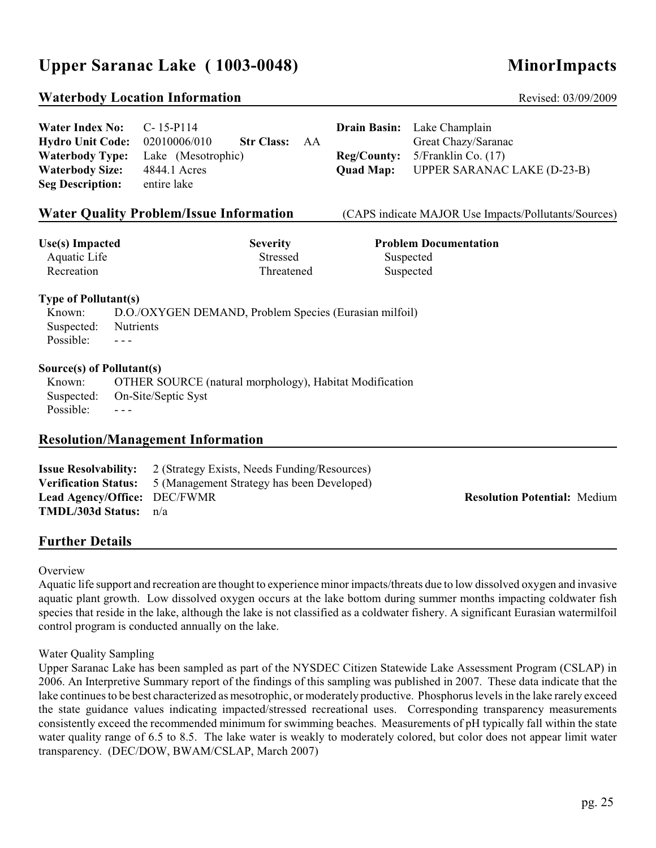# Upper Saranac Lake (1003-0048) MinorImpacts

## **Waterbody Location Information Revised: 03/09/2009** Revised: 03/09/2009

| <b>Hydro Unit Code:</b><br><b>Waterbody Type:</b><br><b>Waterbody Size:</b><br><b>Seg Description:</b>                                           | 02010006/010<br>Lake (Mesotrophic)<br>4844.1 Acres<br>entire lake   | <b>Str Class:</b><br>AA                   | <b>Reg/County:</b><br><b>Quad Map:</b> | Great Chazy/Saranac<br>$5/Franklin$ Co. $(17)$<br><b>UPPER SARANAC LAKE (D-23-B)</b> |  |
|--------------------------------------------------------------------------------------------------------------------------------------------------|---------------------------------------------------------------------|-------------------------------------------|----------------------------------------|--------------------------------------------------------------------------------------|--|
|                                                                                                                                                  | <b>Water Quality Problem/Issue Information</b>                      |                                           |                                        | (CAPS indicate MAJOR Use Impacts/Pollutants/Sources)                                 |  |
| <b>Use(s)</b> Impacted<br>Aquatic Life<br>Recreation                                                                                             |                                                                     | <b>Severity</b><br>Stressed<br>Threatened |                                        | <b>Problem Documentation</b><br>Suspected<br>Suspected                               |  |
| <b>Type of Pollutant(s)</b><br>Known:<br>Suspected:<br>Possible:                                                                                 | D.O./OXYGEN DEMAND, Problem Species (Eurasian milfoil)<br>Nutrients |                                           |                                        |                                                                                      |  |
| Source(s) of Pollutant(s)<br>OTHER SOURCE (natural morphology), Habitat Modification<br>Known:<br>On-Site/Septic Syst<br>Suspected:<br>Possible: |                                                                     |                                           |                                        |                                                                                      |  |
| <b>Resolution/Management Information</b>                                                                                                         |                                                                     |                                           |                                        |                                                                                      |  |

## **Resolution/Management Information**

| <b>Issue Resolvability:</b>    | 2 (Strategy Exists, Needs Funding/Resources)                           |
|--------------------------------|------------------------------------------------------------------------|
|                                | <b>Verification Status:</b> 5 (Management Strategy has been Developed) |
| Lead Agency/Office: DEC/FWMR   |                                                                        |
| <b>TMDL/303d Status:</b> $n/a$ |                                                                        |

### **Resolution Potential: Medium**

**Further Details**

### **Overview**

Aquatic life support and recreation are thought to experience minor impacts/threats due to low dissolved oxygen and invasive aquatic plant growth. Low dissolved oxygen occurs at the lake bottom during summer months impacting coldwater fish species that reside in the lake, although the lake is not classified as a coldwater fishery. A significant Eurasian watermilfoil control program is conducted annually on the lake.

#### Water Quality Sampling

Upper Saranac Lake has been sampled as part of the NYSDEC Citizen Statewide Lake Assessment Program (CSLAP) in 2006. An Interpretive Summary report of the findings of this sampling was published in 2007. These data indicate that the lake continues to be best characterized as mesotrophic, or moderately productive. Phosphorus levels in the lake rarely exceed the state guidance values indicating impacted/stressed recreational uses. Corresponding transparency measurements consistently exceed the recommended minimum for swimming beaches. Measurements of pH typically fall within the state water quality range of 6.5 to 8.5. The lake water is weakly to moderately colored, but color does not appear limit water transparency. (DEC/DOW, BWAM/CSLAP, March 2007)

**Water Index No:** C- 15-P114 **Drain Basin:** Lake Champlain